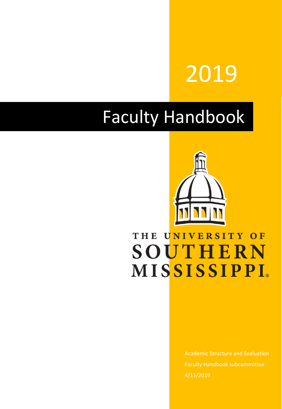# 2019

## Faculty Handbook



## THE UNIVERSITY OF **SOUTHERN MISSISSIPPI**

Academic Structure and Evaluation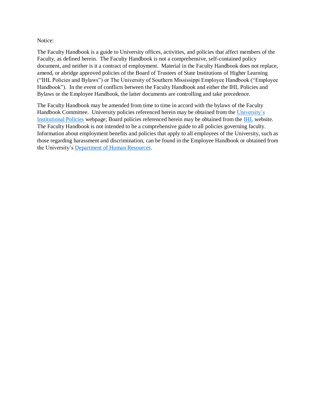#### Notice:

The Faculty Handbook is a guide to University offices, activities, and policies that affect members of the Faculty, as defined herein. The Faculty Handbook is not a comprehensive, self-contained policy document, and neither is it a contract of employment. Material in the Faculty Handbook does not replace, amend, or abridge approved policies of the Board of Trustees of State Institutions of Higher Learning ("IHL Policies and Bylaws") or The University of Southern Mississippi Employee Handbook ("Employee Handbook"). In the event of conflicts between the Faculty Handbook and either the IHL Policies and Bylaws or the Employee Handbook, the latter documents are controlling and take precedence.

The Faculty Handbook may be amended from time to time in accord with the bylaws of the Faculty Handbook Committee. University policies referenced herein may be obtained from the [University's](https://www.usm.edu/institutional-policies/policy-acaf-ool-001)  [Institutional Policies](https://www.usm.edu/institutional-policies/policy-acaf-ool-001) webpage; Board policies referenced herein may be obtained from the [IHL](http://www.mississippi.edu/ihl/) website. The Faculty Handbook is not intended to be a comprehensive guide to all policies governing faculty. Information about employment benefits and policies that apply to all employees of the University, such as those regarding harassment and discrimination, can be found in the Employee Handbook or obtained from the University's [Department of Human Resources.](https://www.usm.edu/employment-hr)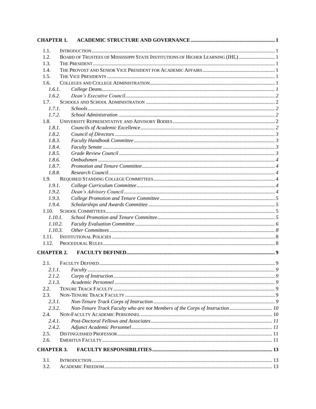| <b>CHAPTER 1.</b> |                                                                              |  |
|-------------------|------------------------------------------------------------------------------|--|
| 1.1.              |                                                                              |  |
| 1.2.              | BOARD OF TRUSTEES OF MISSISSIPPI STATE INSTITUTIONS OF HIGHER LEARNING (IHL) |  |
| 1.3.              |                                                                              |  |
| 1.4.              |                                                                              |  |
| 1.5.              |                                                                              |  |
| 1.6.              |                                                                              |  |
| 1.6.1.            |                                                                              |  |
| 1.6.2.            |                                                                              |  |
| 1.7.              |                                                                              |  |
| 1.7.1.            |                                                                              |  |
| 1.7.2.            |                                                                              |  |
| 1.8.              |                                                                              |  |
| 1.8.1.            |                                                                              |  |
| 1.8.2.            |                                                                              |  |
| 1.8.3.            |                                                                              |  |
| 1.8.4.            |                                                                              |  |
| 1.8.5.            |                                                                              |  |
| 1.8.6.            |                                                                              |  |
| 1.8.7.            |                                                                              |  |
| 1.8.8.            |                                                                              |  |
| 1.9.              |                                                                              |  |
| 1.9.1.            |                                                                              |  |
| 1.9.2.            |                                                                              |  |
| 1.9.3.            |                                                                              |  |
| 1.9.4.            |                                                                              |  |
| 1.10.             |                                                                              |  |
| 1.10.1.           |                                                                              |  |
| 1.10.2.           |                                                                              |  |
| 1.10.3.           |                                                                              |  |
| 1.11.             |                                                                              |  |
| 1.12.             |                                                                              |  |
| <b>CHAPTER 2.</b> |                                                                              |  |
|                   |                                                                              |  |
| 2.1.              |                                                                              |  |
| 2.1.1.            |                                                                              |  |
| 2.1.2.            |                                                                              |  |
| 2.1.3.            |                                                                              |  |
| 2.2.              |                                                                              |  |
| 2.3.              |                                                                              |  |
| 2.3.1.            |                                                                              |  |
| 2.3.2.            | Non-Tenure Track Faculty who are not Members of the Corps of Instruction 10  |  |
| 2.4.              |                                                                              |  |
| 2.4.1.            |                                                                              |  |
| 2.4.2.            |                                                                              |  |
| 2.5.              |                                                                              |  |
| 2.6.              |                                                                              |  |
| <b>CHAPTER 3.</b> |                                                                              |  |
| 3.1.              |                                                                              |  |
| 3.2.              |                                                                              |  |
|                   |                                                                              |  |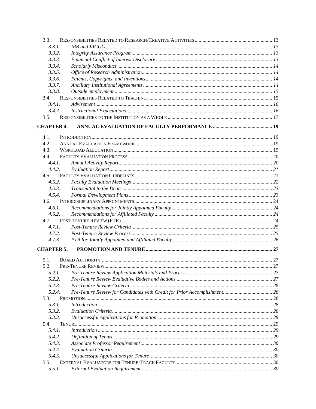| 3.3.              |  |
|-------------------|--|
| 3.3.1.            |  |
| 3.3.2.            |  |
| 3.3.3.            |  |
| 3.3.4.            |  |
| 3.3.5.            |  |
| 3.3.6.            |  |
| 3.3.7.            |  |
| 3.3.8.            |  |
| 3.4.              |  |
| 3.4.1.            |  |
| 3.4.2.            |  |
| 3.5.              |  |
| <b>CHAPTER 4.</b> |  |
| 4.1.              |  |
| 4.2.              |  |
| 4.3.              |  |
| 4.4.              |  |
| 4.4.1.            |  |
| 4.4.2.            |  |
| 4.5.              |  |
| 4.5.2.            |  |
| 4.5.3.            |  |
| 4.5.4.            |  |
| 4.6.              |  |
| 4.6.1.            |  |
| 4.6.2.            |  |
| 4.7.              |  |
| 4.7.1.            |  |
| 4.7.2.            |  |
| 4.7.3.            |  |
| <b>CHAPTER 5.</b> |  |
| 5.1.              |  |
| 5.2.              |  |
| 5.2.1.            |  |
| 5.2.2.            |  |
| 5.2.3.            |  |
| 5.2.4.            |  |
| 5.3.              |  |
| 5.3.1.            |  |
| 5.3.2.            |  |
| 5.3.3.            |  |
| 5.4.              |  |
| 5.4.1.            |  |
| 5.4.2.            |  |
| 5.4.3.            |  |
| 5.4.4.            |  |
| 5.4.5.            |  |
| 5.5.              |  |
| 5.5.1.            |  |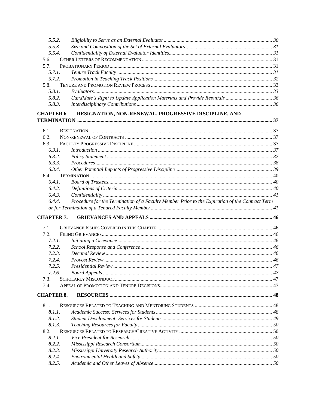| 5.5.2.            |                                                                                                |  |  |
|-------------------|------------------------------------------------------------------------------------------------|--|--|
| 5.5.3.            |                                                                                                |  |  |
| 5.5.4.            |                                                                                                |  |  |
| 5.6.              |                                                                                                |  |  |
| 5.7.              |                                                                                                |  |  |
| 5.7.1.            |                                                                                                |  |  |
| 5.7.2.            |                                                                                                |  |  |
| 5.8.              |                                                                                                |  |  |
| 5.8.1.            |                                                                                                |  |  |
| 5.8.2.            | Candidate's Right to Update Application Materials and Provide Rebuttals  36                    |  |  |
| 5.8.3.            |                                                                                                |  |  |
| <b>CHAPTER 6.</b> | RESIGNATION, NON-RENEWAL, PROGRESSIVE DISCIPLINE, AND                                          |  |  |
|                   |                                                                                                |  |  |
| 6.1.              |                                                                                                |  |  |
| 6.2.              |                                                                                                |  |  |
| 6.3.              |                                                                                                |  |  |
| 6.3.1.            |                                                                                                |  |  |
| 6.3.2.            |                                                                                                |  |  |
| 6.3.3.            |                                                                                                |  |  |
| 6.3.4.            |                                                                                                |  |  |
| 6.4.              |                                                                                                |  |  |
| 6.4.1.            |                                                                                                |  |  |
| 6.4.2.            |                                                                                                |  |  |
| 6.4.3.            |                                                                                                |  |  |
| 6.4.4.            | Procedure for the Termination of a Faculty Member Prior to the Expiration of the Contract Term |  |  |
|                   |                                                                                                |  |  |
|                   |                                                                                                |  |  |
| <b>CHAPTER 7.</b> |                                                                                                |  |  |
|                   |                                                                                                |  |  |
|                   |                                                                                                |  |  |
| 7.1.              |                                                                                                |  |  |
| 7.2.              |                                                                                                |  |  |
| 7.2.1.            |                                                                                                |  |  |
| 7.2.2.            |                                                                                                |  |  |
| 7.2.3.            |                                                                                                |  |  |
| 7.2.4.            |                                                                                                |  |  |
| 7.2.5.            |                                                                                                |  |  |
| 7.2.6.            |                                                                                                |  |  |
| 7.3.              |                                                                                                |  |  |
| 7.4.              |                                                                                                |  |  |
| <b>CHAPTER 8.</b> |                                                                                                |  |  |
| 8.1.              |                                                                                                |  |  |
| 8.1.1.            |                                                                                                |  |  |
| 8.1.2.            |                                                                                                |  |  |
| 8.1.3.            |                                                                                                |  |  |
| 8.2.              |                                                                                                |  |  |
| 8.2.1.            |                                                                                                |  |  |
| 8.2.2.            |                                                                                                |  |  |
| 8.2.3.            |                                                                                                |  |  |
| 8.2.4.            |                                                                                                |  |  |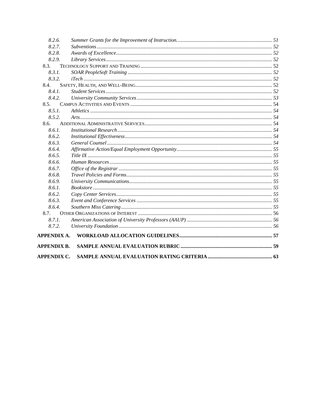| <b>APPENDIX C.</b> |  |
|--------------------|--|
| <b>APPENDIX B.</b> |  |
| <b>APPENDIX A.</b> |  |
| 8.7.2.             |  |
| 8.7.1.             |  |
| 8.7.               |  |
| 8.6.4.             |  |
| 8.6.3.             |  |
| 8.6.2.             |  |
| 8.6.1.             |  |
| 8.6.9.             |  |
| 8.6.8.             |  |
| 8.6.7.             |  |
| 8.6.6.             |  |
| 8.6.5.             |  |
| 8.6.4.             |  |
| 8.6.3.             |  |
| 8.6.2.             |  |
| 8.6.1.             |  |
| 8.6.               |  |
| 8.5.2.             |  |
| 8.5.1.             |  |
| 8.5.               |  |
| 8.4.2.             |  |
| 8.4.1.             |  |
| 8.4.               |  |
| 8.3.2.             |  |
| 8.3.<br>8.3.1.     |  |
| 8.2.9.             |  |
| 8.2.8.             |  |
| 8.2.7.             |  |
| 8.2.6.             |  |
|                    |  |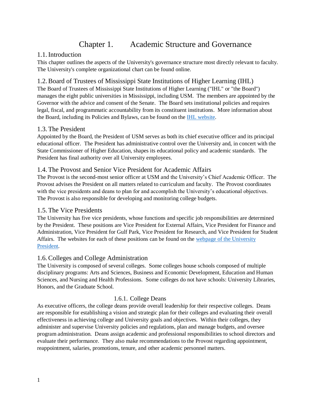## Chapter 1. Academic Structure and Governance

#### <span id="page-6-1"></span><span id="page-6-0"></span>1.1.Introduction

This chapter outlines the aspects of the University's governance structure most directly relevant to faculty. The University's complete organizational chart can be found [online.](http://www.usm.edu/institutional-research/organizational-chart)

#### <span id="page-6-2"></span>1.2.Board of Trustees of Mississippi State Institutions of Higher Learning (IHL)

The Board of Trustees of Mississippi State Institutions of Higher Learning ("IHL" or "the Board") manages the eight public universities in Mississippi, including USM. The members are appointed by the Governor with the advice and consent of the Senate. The Board sets institutional policies and requires legal, fiscal, and programmatic accountability from its constituent institutions. More information about the Board, including its Policies and Bylaws, can be found on the [IHL website.](http://www.mississippi.edu/board/)

#### <span id="page-6-3"></span>1.3. The President

Appointed by the Board, the President of USM serves as both its chief executive officer and its principal educational officer. The President has administrative control over the University and, in concert with the State Commissioner of Higher Education, shapes its educational policy and academic standards. The President has final authority over all University employees.

#### <span id="page-6-4"></span>1.4. The Provost and Senior Vice President for Academic Affairs

The Provost is the second-most senior officer at USM and the University's Chief Academic Officer. The Provost advises the President on all matters related to curriculum and faculty. The Provost coordinates with the vice presidents and deans to plan for and accomplish the University's educational objectives. The Provost is also responsible for developing and monitoring college budgets.

#### <span id="page-6-5"></span>1.5. The Vice Presidents

The University has five vice presidents, whose functions and specific job responsibilities are determined by the President. These positions are Vice President for External Affairs, Vice President for Finance and Administration, Vice President for Gulf Park, Vice President for Research, and Vice President for Student Affairs. The websites for each of these positions can be found on the [webpage of the University](https://www.usm.edu/about/administration)  [President.](https://www.usm.edu/about/administration)

#### <span id="page-6-6"></span>1.6.Colleges and College Administration

The University is composed of several colleges. Some colleges house schools composed of multiple disciplinary programs: Arts and Sciences, Business and Economic Development, Education and Human Sciences, and Nursing and Health Professions. Some colleges do not have schools: University Libraries, Honors, and the Graduate School.

#### 1.6.1. College Deans

<span id="page-6-7"></span>As executive officers, the college deans provide overall leadership for their respective colleges. Deans are responsible for establishing a vision and strategic plan for their colleges and evaluating their overall effectiveness in achieving college and University goals and objectives. Within their colleges, they administer and supervise University policies and regulations, plan and manage budgets, and oversee program administration. Deans assign academic and professional responsibilities to school directors and evaluate their performance. They also make recommendations to the Provost regarding appointment, reappointment, salaries, promotions, tenure, and other academic personnel matters.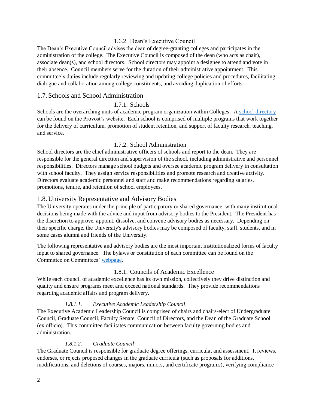#### 1.6.2. Dean's Executive Council

<span id="page-7-0"></span>The Dean's Executive Council advises the dean of degree-granting colleges and participates in the administration of the college. The Executive Council is composed of the dean (who acts as chair), associate dean(s), and school directors. School directors may appoint a designee to attend and vote in their absence. Council members serve for the duration of their administrative appointment. This committee's duties include regularly reviewing and updating college policies and procedures, facilitating dialogue and collaboration among college constituents, and avoiding duplication of efforts.

#### <span id="page-7-2"></span><span id="page-7-1"></span>1.7. Schools and School Administration

#### 1.7.1. Schools

Schools are the overarching units of academic program organization within Colleges. A [school directory](https://www.usm.edu/provost/college-school-directory) can be found on the Provost's website. Each school is comprised of multiple programs that work together for the delivery of curriculum, promotion of student retention, and support of faculty research, teaching, and service.

#### 1.7.2. School Administration

<span id="page-7-3"></span>School directors are the chief administrative officers of schools and report to the dean. They are responsible for the general direction and supervision of the school, including administrative and personnel responsibilities. Directors manage school budgets and oversee academic program delivery in consultation with school faculty. They assign service responsibilities and promote research and creative activity. Directors evaluate academic personnel and staff and make recommendations regarding salaries, promotions, tenure, and retention of school employees.

#### <span id="page-7-4"></span>1.8. University Representative and Advisory Bodies

The University operates under the principle of participatory or shared governance, with many institutional decisions being made with the advice and input from advisory bodies to the President. The President has the discretion to approve, appoint, dissolve, and convene advisory bodies as necessary. Depending on their specific charge, the University's advisory bodies may be composed of faculty, staff, students, and in some cases alumni and friends of the University.

The following representative and advisory bodies are the most important institutionalized forms of faculty input to shared governance. The bylaws or constitution of each committee can be found on the Committee on Committees' [webpage.](https://www.usm.edu/university-committees/university-standing-committees)

#### 1.8.1. Councils of Academic Excellence

<span id="page-7-5"></span>While each council of academic excellence has its own mission, collectively they drive distinction and quality and ensure programs meet and exceed national standards. They provide recommendations regarding academic affairs and program delivery.

#### *1.8.1.1. Executive Academic Leadership Council*

The Executive Academic Leadership Council is comprised of chairs and chairs-elect of Undergraduate Council, Graduate Council, Faculty Senate, Council of Directors, and the Dean of the Graduate School (ex officio). This committee facilitates communication between faculty governing bodies and administration.

#### *1.8.1.2. Graduate Council*

The Graduate Council is responsible for graduate degree offerings, curricula, and assessment. It reviews, endorses, or rejects proposed changes in the graduate curricula (such as proposals for additions, modifications, and deletions of courses, majors, minors, and certificate programs), verifying compliance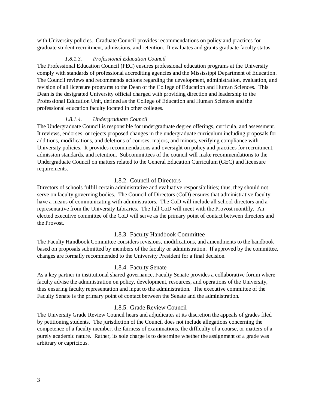with University policies. Graduate Council provides recommendations on policy and practices for graduate student recruitment, admissions, and retention. It evaluates and grants graduate faculty status.

#### *1.8.1.3. Professional Education Council*

The Professional Education Council (PEC) ensures professional education programs at the University comply with standards of professional accrediting agencies and the Mississippi Department of Education. The Council reviews and recommends actions regarding the development, administration, evaluation, and revision of all licensure programs to the Dean of the College of Education and Human Sciences. This Dean is the designated University official charged with providing direction and leadership to the Professional Education Unit, defined as the College of Education and Human Sciences and the professional education faculty located in other colleges.

#### *1.8.1.4. Undergraduate Council*

The Undergraduate Council is responsible for undergraduate degree offerings, curricula, and assessment. It reviews, endorses, or rejects proposed changes in the undergraduate curriculum including proposals for additions, modifications, and deletions of courses, majors, and minors, verifying compliance with University policies. It provides recommendations and oversight on policy and practices for recruitment, admission standards, and retention. Subcommittees of the council will make recommendations to the Undergraduate Council on matters related to the General Education Curriculum (GEC) and licensure requirements.

#### 1.8.2. Council of Directors

<span id="page-8-0"></span>Directors of schools fulfill certain administrative and evaluative responsibilities; thus, they should not serve on faculty governing bodies. The Council of Directors (CoD) ensures that administrative faculty have a means of communicating with administrators. The CoD will include all school directors and a representative from the University Libraries. The full CoD will meet with the Provost monthly. An elected executive committee of the CoD will serve as the primary point of contact between directors and the Provost.

#### 1.8.3. Faculty Handbook Committee

<span id="page-8-1"></span>The Faculty Handbook Committee considers revisions, modifications, and amendments to the handbook based on proposals submitted by members of the faculty or administration. If approved by the committee, changes are formally recommended to the University President for a final decision.

#### 1.8.4. Faculty Senate

<span id="page-8-2"></span>As a key partner in institutional shared governance, Faculty Senate provides a collaborative forum where faculty advise the administration on policy, development, resources, and operations of the University, thus ensuring faculty representation and input to the administration. The executive committee of the Faculty Senate is the primary point of contact between the Senate and the administration.

#### 1.8.5. Grade Review Council

<span id="page-8-3"></span>The University Grade Review Council hears and adjudicates at its discretion the appeals of grades filed by petitioning students. The jurisdiction of the Council does not include allegations concerning the competence of a faculty member, the fairness of examinations, the difficulty of a course, or matters of a purely academic nature. Rather, its sole charge is to determine whether the assignment of a grade was arbitrary or capricious.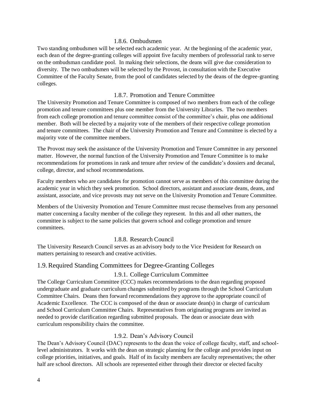#### 1.8.6. Ombudsmen

<span id="page-9-0"></span>Two standing ombudsmen will be selected each academic year. At the beginning of the academic year, each dean of the degree-granting colleges will appoint five faculty members of professorial rank to serve on the ombudsman candidate pool. In making their selections, the deans will give due consideration to diversity. The two ombudsmen will be selected by the Provost, in consultation with the Executive Committee of the Faculty Senate, from the pool of candidates selected by the deans of the degree-granting colleges.

#### 1.8.7. Promotion and Tenure Committee

<span id="page-9-1"></span>The University Promotion and Tenure Committee is composed of two members from each of the college promotion and tenure committees plus one member from the University Libraries. The two members from each college promotion and tenure committee consist of the committee's chair, plus one additional member. Both will be elected by a majority vote of the members of their respective college promotion and tenure committees. The chair of the University Promotion and Tenure and Committee is elected by a majority vote of the committee members.

The Provost may seek the assistance of the University Promotion and Tenure Committee in any personnel matter. However, the normal function of the University Promotion and Tenure Committee is to make recommendations for promotions in rank and tenure after review of the candidate's dossiers and decanal, college, director, and school recommendations.

Faculty members who are candidates for promotion cannot serve as members of this committee during the academic year in which they seek promotion. School directors, assistant and associate deans, deans, and assistant, associate, and vice provosts may not serve on the University Promotion and Tenure Committee.

Members of the University Promotion and Tenure Committee must recuse themselves from any personnel matter concerning a faculty member of the college they represent. In this and all other matters, the committee is subject to the same policies that govern school and college promotion and tenure committees.

#### 1.8.8. Research Council

<span id="page-9-2"></span>The University Research Council serves as an advisory body to the Vice President for Research on matters pertaining to research and creative activities.

#### <span id="page-9-4"></span><span id="page-9-3"></span>1.9.Required Standing Committees for Degree-Granting Colleges

#### 1.9.1. College Curriculum Committee

The College Curriculum Committee (CCC) makes recommendations to the dean regarding proposed undergraduate and graduate curriculum changes submitted by programs through the School Curriculum Committee Chairs. Deans then forward recommendations they approve to the appropriate council of Academic Excellence. The CCC is composed of the dean or associate dean(s) in charge of curriculum and School Curriculum Committee Chairs. Representatives from originating programs are invited as needed to provide clarification regarding submitted proposals. The dean or associate dean with curriculum responsibility chairs the committee.

#### 1.9.2. Dean's Advisory Council

<span id="page-9-5"></span>The Dean's Advisory Council (DAC) represents to the dean the voice of college faculty, staff, and schoollevel administrators. It works with the dean on strategic planning for the college and provides input on college priorities, initiatives, and goals. Half of its faculty members are faculty representatives; the other half are school directors. All schools are represented either through their director or elected faculty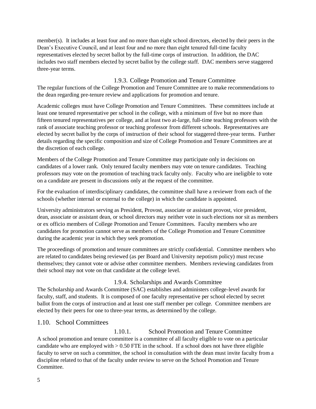member(s). It includes at least four and no more than eight school directors, elected by their peers in the Dean's Executive Council, and at least four and no more than eight tenured full-time faculty representatives elected by secret ballot by the full-time corps of instruction. In addition, the DAC includes two staff members elected by secret ballot by the college staff. DAC members serve staggered three-year terms.

#### 1.9.3. College Promotion and Tenure Committee

<span id="page-10-0"></span>The regular functions of the College Promotion and Tenure Committee are to make recommendations to the dean regarding pre-tenure review and applications for promotion and tenure.

Academic colleges must have College Promotion and Tenure Committees. These committees include at least one tenured representative per school in the college, with a minimum of five but no more than fifteen tenured representatives per college, and at least two at-large, full-time teaching professors with the rank of associate teaching professor or teaching professor from different schools. Representatives are elected by secret ballot by the corps of instruction of their school for staggered three-year terms. Further details regarding the specific composition and size of College Promotion and Tenure Committees are at the discretion of each college.

Members of the College Promotion and Tenure Committee may participate only in decisions on candidates of a lower rank. Only tenured faculty members may vote on tenure candidates. Teaching professors may vote on the promotion of teaching track faculty only. Faculty who are ineligible to vote on a candidate are present in discussions only at the request of the committee.

For the evaluation of interdisciplinary candidates, the committee shall have a reviewer from each of the schools (whether internal or external to the college) in which the candidate is appointed.

University administrators serving as President, Provost, associate or assistant provost, vice president, dean, associate or assistant dean, or school directors may neither vote in such elections nor sit as members or ex officio members of College Promotion and Tenure Committees. Faculty members who are candidates for promotion cannot serve as members of the College Promotion and Tenure Committee during the academic year in which they seek promotion.

The proceedings of promotion and tenure committees are strictly confidential. Committee members who are related to candidates being reviewed (as per Board and University nepotism policy) must recuse themselves; they cannot vote or advise other committee members. Members reviewing candidates from their school may not vote on that candidate at the college level.

#### 1.9.4. Scholarships and Awards Committee

<span id="page-10-1"></span>The Scholarship and Awards Committee (SAC) establishes and administers college-level awards for faculty, staff, and students. It is composed of one faculty representative per school elected by secret ballot from the corps of instruction and at least one staff member per college. Committee members are elected by their peers for one to three-year terms, as determined by the college.

#### <span id="page-10-2"></span>1.10. School Committees

<span id="page-10-3"></span>1.10.1. School Promotion and Tenure Committee A school promotion and tenure committee is a committee of all faculty eligible to vote on a particular candidate who are employed with  $> 0.50$  FTE in the school. If a school does not have three eligible faculty to serve on such a committee, the school in consultation with the dean must invite faculty from a discipline related to that of the faculty under review to serve on the School Promotion and Tenure Committee.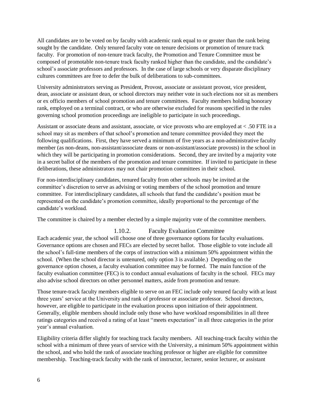All candidates are to be voted on by faculty with academic rank equal to or greater than the rank being sought by the candidate. Only tenured faculty vote on tenure decisions or promotion of tenure track faculty. For promotion of non-tenure track faculty, the Promotion and Tenure Committee must be composed of promotable non-tenure track faculty ranked higher than the candidate, and the candidate's school's associate professors and professors. In the case of large schools or very disparate disciplinary cultures committees are free to defer the bulk of deliberations to sub-committees.

University administrators serving as President, Provost, associate or assistant provost, vice president, dean, associate or assistant dean, or school directors may neither vote in such elections nor sit as members or ex officio members of school promotion and tenure committees. Faculty members holding honorary rank, employed on a terminal contract, or who are otherwise excluded for reasons specified in the rules governing school promotion proceedings are ineligible to participate in such proceedings.

Assistant or associate deans and assistant, associate, or vice provosts who are employed at < .50 FTE in a school may sit as members of that school's promotion and tenure committee provided they meet the following qualifications. First, they have served a minimum of five years as a non-administrative faculty member (as non-deans, non-assistant/associate deans or non-assistant/associate provosts) in the school in which they will be participating in promotion considerations. Second, they are invited by a majority vote in a secret ballot of the members of the promotion and tenure committee. If invited to participate in these deliberations, these administrators may not chair promotion committees in their school.

For non-interdisciplinary candidates, tenured faculty from other schools may be invited at the committee's discretion to serve as advising or voting members of the school promotion and tenure committee. For interdisciplinary candidates, all schools that fund the candidate's position must be represented on the candidate's promotion committee, ideally proportional to the percentage of the candidate's workload.

The committee is chaired by a member elected by a simple majority vote of the committee members.

#### 1.10.2. Faculty Evaluation Committee

<span id="page-11-0"></span>Each academic year, the school will choose one of three governance options for faculty evaluations. Governance options are chosen and FECs are elected by secret ballot. Those eligible to vote include all the school's full-time members of the corps of instruction with a minimum 50% appointment within the school. (When the school director is untenured, only option 3 is available.) Depending on the governance option chosen, a faculty evaluation committee may be formed. The main function of the faculty evaluation committee (FEC) is to conduct annual evaluations of faculty in the school. FECs may also advise school directors on other personnel matters, aside from promotion and tenure.

Those tenure-track faculty members eligible to serve on an FEC include only tenured faculty with at least three years' service at the University and rank of professor or associate professor. School directors, however, are eligible to participate in the evaluation process upon initiation of their appointment. Generally, eligible members should include only those who have workload responsibilities in all three ratings categories and received a rating of at least "meets expectation" in all three categories in the prior year's annual evaluation.

Eligibility criteria differ slightly for teaching track faculty members. All teaching-track faculty within the school with a minimum of three years of service with the University, a minimum 50% appointment within the school, and who hold the rank of associate teaching professor or higher are eligible for committee membership. Teaching-track faculty with the rank of instructor, lecturer, senior lecturer, or assistant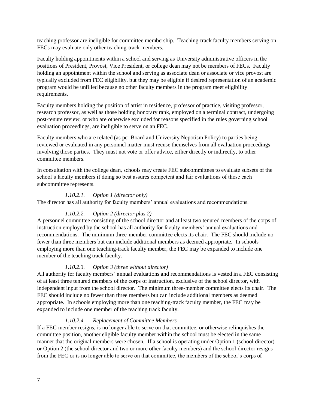teaching professor are ineligible for committee membership. Teaching-track faculty members serving on FECs may evaluate only other teaching-track members.

Faculty holding appointments within a school and serving as University administrative officers in the positions of President, Provost, Vice President, or college dean may not be members of FECs. Faculty holding an appointment within the school and serving as associate dean or associate or vice provost are typically excluded from FEC eligibility, but they may be eligible if desired representation of an academic program would be unfilled because no other faculty members in the program meet eligibility requirements.

Faculty members holding the position of artist in residence, professor of practice, visiting professor, research professor, as well as those holding honorary rank, employed on a terminal contract, undergoing post-tenure review, or who are otherwise excluded for reasons specified in the rules governing school evaluation proceedings, are ineligible to serve on an FEC.

Faculty members who are related (as per Board and University Nepotism Policy) to parties being reviewed or evaluated in any personnel matter must recuse themselves from all evaluation proceedings involving those parties. They must not vote or offer advice, either directly or indirectly, to other committee members.

In consultation with the college dean, schools may create FEC subcommittees to evaluate subsets of the school's faculty members if doing so best assures competent and fair evaluations of those each subcommittee represents.

#### *1.10.2.1. Option 1 (director only)*

The director has all authority for faculty members' annual evaluations and recommendations.

#### *1.10.2.2. Option 2 (director plus 2)*

A personnel committee consisting of the school director and at least two tenured members of the corps of instruction employed by the school has all authority for faculty members' annual evaluations and recommendations. The minimum three-member committee elects its chair. The FEC should include no fewer than three members but can include additional members as deemed appropriate. In schools employing more than one teaching-track faculty member, the FEC may be expanded to include one member of the teaching track faculty.

#### *1.10.2.3. Option 3 (three without director)*

All authority for faculty members' annual evaluations and recommendations is vested in a FEC consisting of at least three tenured members of the corps of instruction, exclusive of the school director, with independent input from the school director. The minimum three-member committee elects its chair. The FEC should include no fewer than three members but can include additional members as deemed appropriate. In schools employing more than one teaching-track faculty member, the FEC may be expanded to include one member of the teaching track faculty.

#### *1.10.2.4. Replacement of Committee Members*

If a FEC member resigns, is no longer able to serve on that committee, or otherwise relinquishes the committee position, another eligible faculty member within the school must be elected in the same manner that the original members were chosen. If a school is operating under Option 1 (school director) or Option 2 (the school director and two or more other faculty members) and the school director resigns from the FEC or is no longer able to serve on that committee, the members of the school's corps of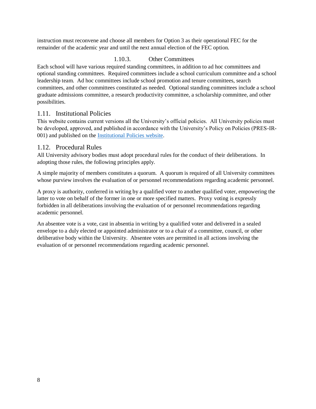instruction must reconvene and choose all members for Option 3 as their operational FEC for the remainder of the academic year and until the next annual election of the FEC option.

#### 1.10.3. Other Committees

<span id="page-13-0"></span>Each school will have various required standing committees, in addition to ad hoc committees and optional standing committees. Required committees include a school curriculum committee and a school leadership team. Ad hoc committees include school promotion and tenure committees, search committees, and other committees constituted as needed. Optional standing committees include a school graduate admissions committee, a research productivity committee, a scholarship committee, and other possibilities.

#### <span id="page-13-1"></span>1.11. Institutional Policies

This website contains current versions all the University's official policies. All University policies must be developed, approved, and published in accordance with the University's Policy on Policies (PRES-IR-001) and published on the [Institutional Policies website.](https://www.usm.edu/institutional-policies/policy-rsch-vp-002)

#### <span id="page-13-2"></span>1.12. Procedural Rules

All University advisory bodies must adopt procedural rules for the conduct of their deliberations. In adopting those rules, the following principles apply.

A simple majority of members constitutes a quorum. A quorum is required of all University committees whose purview involves the evaluation of or personnel recommendations regarding academic personnel.

A proxy is authority, conferred in writing by a qualified voter to another qualified voter, empowering the latter to vote on behalf of the former in one or more specified matters. Proxy voting is expressly forbidden in all deliberations involving the evaluation of or personnel recommendations regarding academic personnel.

An absentee vote is a vote, cast in absentia in writing by a qualified voter and delivered in a sealed envelope to a duly elected or appointed administrator or to a chair of a committee, council, or other deliberative body within the University. Absentee votes are permitted in all actions involving the evaluation of or personnel recommendations regarding academic personnel.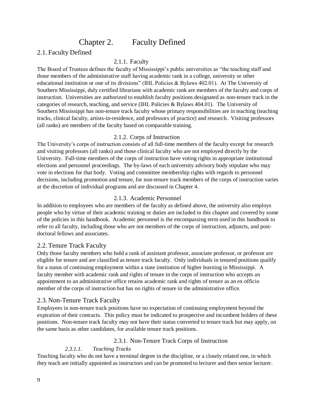### Chapter 2. Faculty Defined

#### <span id="page-14-2"></span><span id="page-14-1"></span>2.1. Faculty Defined

#### <span id="page-14-0"></span>2.1.1. Faculty

The Board of Trustees defines the faculty of Mississippi's public universities as "the teaching staff and those members of the administrative staff having academic rank in a college, university or other educational institution or one of its divisions" (IHL Policies & Bylaws 402.01). At The University of Southern Mississippi, duly certified librarians with academic rank are members of the faculty and corps of instruction. Universities are authorized to establish faculty positions designated as non-tenure track in the categories of research, teaching, and service (IHL Policies & Bylaws 404.01). The University of Southern Mississippi has non-tenure track faculty whose primary responsibilities are in teaching (teaching tracks, clinical faculty, artists-in-residence, and professors of practice) and research. Visiting professors (all ranks) are members of the faculty based on comparable training.

#### 2.1.2. Corps of Instruction

<span id="page-14-3"></span>The University's corps of instruction consists of all full-time members of the faculty except for research and visiting professors (all ranks) and those clinical faculty who are not employed directly by the University. Full-time members of the corps of instruction have voting rights in appropriate institutional elections and personnel proceedings. The by-laws of each university advisory body stipulate who may vote in elections for that body. Voting and committee membership rights with regards to personnel decisions, including promotion and tenure, for non-tenure track members of the corps of instruction varies at the discretion of individual programs and are discussed in Chapter 4.

#### 2.1.3. Academic Personnel

<span id="page-14-4"></span>In addition to employees who are members of the faculty as defined above, the university also employs people who by virtue of their academic training or duties are included in this chapter and covered by some of the policies in this handbook. Academic personnel is the encompassing term used in this handbook to refer to all faculty, including those who are not members of the corps of instruction, adjuncts, and postdoctoral fellows and associates.

#### <span id="page-14-5"></span>2.2. Tenure Track Faculty

Only those faculty members who hold a rank of assistant professor, associate professor, or professor are eligible for tenure and are classified as tenure track faculty. Only individuals in tenured positions qualify for a status of continuing employment within a state institution of higher learning in Mississippi. A faculty member with academic rank and rights of tenure in the corps of instruction who accepts an appointment to an administrative office retains academic rank and rights of tenure as an ex officio member of the corps of instruction but has no rights of tenure in the administrative office.

#### <span id="page-14-6"></span>2.3. Non-Tenure Track Faculty

Employees in non-tenure track positions have no expectation of continuing employment beyond the expiration of their contracts. This policy must be indicated to prospective and incumbent holders of these positions. Non-tenure track faculty may not have their status converted to tenure track but may apply, on the same basis as other candidates, for available tenure track positions.

#### 2.3.1. Non-Tenure Track Corps of Instruction

#### *2.3.1.1. Teaching Tracks*

<span id="page-14-7"></span>Teaching faculty who do not have a terminal degree in the discipline, or a closely related one, in which they teach are initially appointed as instructors and can be promoted to lecturer and then senior lecturer.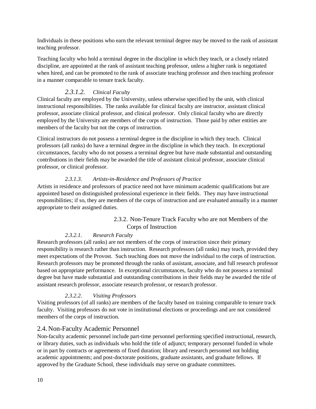Individuals in these positions who earn the relevant terminal degree may be moved to the rank of assistant teaching professor.

Teaching faculty who hold a terminal degree in the discipline in which they teach, or a closely related discipline, are appointed at the rank of assistant teaching professor, unless a higher rank is negotiated when hired, and can be promoted to the rank of associate teaching professor and then teaching professor in a manner comparable to tenure track faculty.

#### *2.3.1.2. Clinical Faculty*

Clinical faculty are employed by the University, unless otherwise specified by the unit, with clinical instructional responsibilities. The ranks available for clinical faculty are instructor, assistant clinical professor, associate clinical professor, and clinical professor. Only clinical faculty who are directly employed by the University are members of the corps of instruction. Those paid by other entities are members of the faculty but not the corps of instruction.

Clinical instructors do not possess a terminal degree in the discipline in which they teach. Clinical professors (all ranks) do have a terminal degree in the discipline in which they teach. In exceptional circumstances, faculty who do not possess a terminal degree but have made substantial and outstanding contributions in their fields may be awarded the title of assistant clinical professor, associate clinical professor, or clinical professor.

#### *2.3.1.3. Artists-in-Residence and Professors of Practice*

Artists in residence and professors of practice need not have minimum academic qualifications but are appointed based on distinguished professional experience in their fields. They may have instructional responsibilities; if so, they are members of the corps of instruction and are evaluated annually in a manner appropriate to their assigned duties.

#### 2.3.2. Non-Tenure Track Faculty who are not Members of the Corps of Instruction

#### *2.3.2.1. Research Faculty*

<span id="page-15-0"></span>Research professors (all ranks) are not members of the corps of instruction since their primary responsibility is research rather than instruction. Research professors (all ranks) may teach, provided they meet expectations of the Provost. Such teaching does not move the individual to the corps of instruction. Research professors may be promoted through the ranks of assistant, associate, and full research professor based on appropriate performance. In exceptional circumstances, faculty who do not possess a terminal degree but have made substantial and outstanding contributions in their fields may be awarded the title of assistant research professor, associate research professor, or research professor.

#### *2.3.2.2. Visiting Professors*

Visiting professors (of all ranks) are members of the faculty based on training comparable to tenure track faculty. Visiting professors do not vote in institutional elections or proceedings and are not considered members of the corps of instruction.

#### <span id="page-15-1"></span>2.4. Non-Faculty Academic Personnel

Non-faculty academic personnel include part-time personnel performing specified instructional, research, or library duties, such as individuals who hold the title of adjunct; temporary personnel funded in whole or in part by contracts or agreements of fixed duration; library and research personnel not holding academic appointments; and post-doctorate positions, graduate assistants, and graduate fellows. If approved by the Graduate School, these individuals may serve on graduate committees.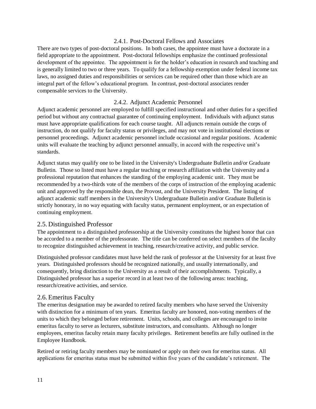#### 2.4.1. Post-Doctoral Fellows and Associates

<span id="page-16-0"></span>There are two types of post-doctoral positions. In both cases, the appointee must have a doctorate in a field appropriate to the appointment. Post-doctoral fellowships emphasize the continued professional development of the appointee. The appointment is for the holder's education in research and teaching and is generally limited to two or three years. To qualify for a fellowship exemption under federal income tax laws, no assigned duties and responsibilities or services can be required other than those which are an integral part of the fellow's educational program. In contrast, post-doctoral associates render compensable services to the University.

#### 2.4.2. Adjunct Academic Personnel

<span id="page-16-1"></span>Adjunct academic personnel are employed to fulfill specified instructional and other duties for a specified period but without any contractual guarantee of continuing employment. Individuals with adjunct status must have appropriate qualifications for each course taught. All adjuncts remain outside the corps of instruction, do not qualify for faculty status or privileges, and may not vote in institutional elections or personnel proceedings. Adjunct academic personnel include occasional and regular positions. Academic units will evaluate the teaching by adjunct personnel annually, in accord with the respective unit's standards.

Adjunct status may qualify one to be listed in the University's Undergraduate Bulletin and/or Graduate Bulletin. Those so listed must have a regular teaching or research affiliation with the University and a professional reputation that enhances the standing of the employing academic unit. They must be recommended by a two-thirds vote of the members of the corps of instruction of the employing academic unit and approved by the responsible dean, the Provost, and the University President. The listing of adjunct academic staff members in the University's Undergraduate Bulletin and/or Graduate Bulletin is strictly honorary, in no way equating with faculty status, permanent employment, or an expectation of continuing employment.

#### <span id="page-16-2"></span>2.5. Distinguished Professor

The appointment to a distinguished professorship at the University constitutes the highest honor that can be accorded to a member of the professorate. The title can be conferred on select members of the faculty to recognize distinguished achievement in teaching, research/creative activity, and public service.

Distinguished professor candidates must have held the rank of professor at the University for at least five years. Distinguished professors should be recognized nationally, and usually internationally, and consequently, bring distinction to the University as a result of their accomplishments. Typically, a Distinguished professor has a superior record in at least two of the following areas: teaching, research/creative activities, and service.

#### <span id="page-16-3"></span>2.6. Emeritus Faculty

The emeritus designation may be awarded to retired faculty members who have served the University with distinction for a minimum of ten years. Emeritus faculty are honored, non-voting members of the units to which they belonged before retirement. Units, schools, and colleges are encouraged to invite emeritus faculty to serve as lecturers, substitute instructors, and consultants. Although no longer employees, emeritus faculty retain many faculty privileges. Retirement benefits are fully outlined in the Employee Handbook.

Retired or retiring faculty members may be nominated or apply on their own for emeritus status. All applications for emeritus status must be submitted within five years of the candidate's retirement. The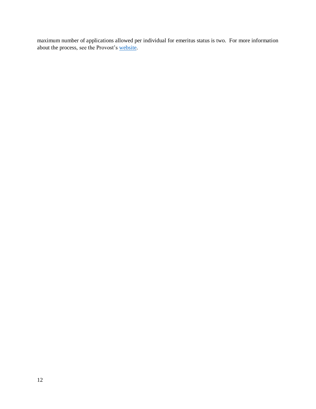maximum number of applications allowed per individual for emeritus status is two. For more information about the process, see the Provost's [website.](https://www.usm.edu/provost/emeritus-faculty-application-information)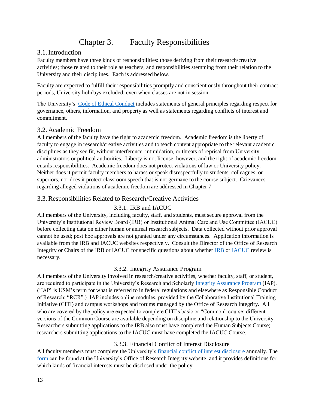## Chapter 3. Faculty Responsibilities

#### <span id="page-18-1"></span><span id="page-18-0"></span>3.1.Introduction

Faculty members have three kinds of responsibilities: those deriving from their research/creative activities; those related to their role as teachers, and responsibilities stemming from their relation to the University and their disciplines. Each is addressed below.

Faculty are expected to fulfill their responsibilities promptly and conscientiously throughout their contract periods, University holidays excluded, even when classes are not in session.

The University's [Code of Ethical Conduct](https://www.usm.edu/institutional-policies/policy-pres-gc-003) includes statements of general principles regarding respect for governance, others, information, and property as well as statements regarding conflicts of interest and commitment.

#### <span id="page-18-2"></span>3.2. Academic Freedom

All members of the faculty have the right to academic freedom. Academic freedom is the liberty of faculty to engage in research/creative activities and to teach content appropriate to the relevant academic disciplines as they see fit, without interference, intimidation, or threats of reprisal from University administrators or political authorities. Liberty is not license, however, and the right of academic freedom entails responsibilities. Academic freedom does not protect violations of law or University policy. Neither does it permit faculty members to harass or speak disrespectfully to students, colleagues, or superiors, nor does it protect classroom speech that is not germane to the course subject. Grievances regarding alleged violations of academic freedom are addressed in Chapter 7.

#### <span id="page-18-4"></span><span id="page-18-3"></span>3.3.Responsibilities Related to Research/Creative Activities

#### 3.3.1. IRB and IACUC

All members of the University, including faculty, staff, and students, must secure approval from the University's Institutional Review Board (IRB) or Institutional Animal Care and Use Committee (IACUC) before collecting data on either human or animal research subjects. Data collected without prior approval cannot be used; post hoc approvals are not granted under any circumstances. Application information is available from the IRB and IACUC websites respectively. Consult the Director of the Office of Research Integrity or Chairs of the IRB or IACUC for specific questions about whether [IRB](https://www.usm.edu/research/institutional-review-board) or [IACUC](https://www.usm.edu/research/institutional-animal-care-and-use-committee) review is necessary.

#### 3.3.2. Integrity Assurance Program

<span id="page-18-5"></span>All members of the University involved in research/creative activities, whether faculty, staff, or student, are required to participate in the University's Research and Scholarly [Integrity Assurance Program](https://www.usm.edu/institutional-policies/policy-rsch-vp-001) (IAP). ('IAP' is USM's term for what is referred to in federal regulations and elsewhere as Responsible Conduct of Research: "RCR".) IAP includes online modules, provided by the Collaborative Institutional Training Initiative (CITI) and campus workshops and forums managed by the Office of Research Integrity. All who are covered by the policy are expected to complete CITI's basic or "Common" course; different versions of the Common Course are available depending on discipline and relationship to the University. Researchers submitting applications to the IRB also must have completed the Human Subjects Course; researchers submitting applications to the IACUC must have completed the IACUC Course.

#### 3.3.3. Financial Conflict of Interest Disclosure

<span id="page-18-6"></span>All faculty members must complete the University's [financial conflict of interest disclosure](https://www.usm.edu/institutional-policies/policy-rsch-vp-003) annually. The [form](https://www.usm.edu/research/financial-conflict-interest) can be found at the University's Office of Research Integrity website, and it provides definitions for which kinds of financial interests must be disclosed under the policy.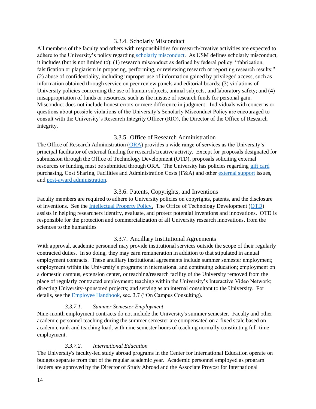#### 3.3.4. Scholarly Misconduct

<span id="page-19-0"></span>All members of the faculty and others with responsibilities for research/creative activities are expected to adhere to the University's policy regarding [scholarly misconduct.](https://www.usm.edu/institutional-policies/policy-rsch-vp-002) As USM defines scholarly misconduct, it includes (but is not limited to): (1) research misconduct as defined by federal policy: "fabrication, falsification or plagiarism in proposing, performing, or reviewing research or reporting research results;" (2) abuse of confidentiality, including improper use of information gained by privileged access, such as information obtained through service on peer review panels and editorial boards; (3) violations of University policies concerning the use of human subjects, animal subjects, and laboratory safety; and (4) misappropriation of funds or resources, such as the misuse of research funds for personal gain. Misconduct does not include honest errors or mere difference in judgment. Individuals with concerns or questions about possible violations of the University's Scholarly Misconduct Policy are encouraged to consult with the University's Research Integrity Officer (RIO), the Director of the Office of Research Integrity.

#### 3.3.5. Office of Research Administration

<span id="page-19-1"></span>The Office of Research Administration [\(ORA\)](https://www.usm.edu/research/office-research-administration) provides a wide range of services as the University's principal facilitator of external funding for research/creative activity. Except for proposals designated for submission through the Office of Technology Development (OTD), proposals soliciting external resources or funding must be submitted through ORA. The University has policies regarding [gift card](https://www.usm.edu/institutional-policies/policy-rsch-spa-009) purchasing, Cost Sharing, Facilities and Administration Costs (F&A) and other [external support](https://www.usm.edu/institutional-policies/policy-rsch-spa-007) issues, an[d post-award administration.](https://www.usm.edu/institutional-policies/policy-rsch-spa-005-0)

#### 3.3.6. Patents, Copyrights, and Inventions

<span id="page-19-2"></span>Faculty members are required to adhere to University policies on copyrights, patents, and the disclosure of inventions. See the [Intellectual Property Policy.](https://www.usm.edu/institutional-policies/policy-rsch-otd-001) The Office of Technology Development [\(OTD\)](https://www.usm.edu/technology-development) assists in helping researchers identify, evaluate, and protect potential inventions and innovations. OTD is responsible for the protection and commercialization of all University research innovations, from the sciences to the humanities

#### 3.3.7. Ancillary Institutional Agreements

<span id="page-19-3"></span>With approval, academic personnel may provide institutional services outside the scope of their regularly contracted duties. In so doing, they may earn remuneration in addition to that stipulated in annual employment contracts. These ancillary institutional agreements include summer semester employment; employment within the University's programs in international and continuing education; employment on a domestic campus, extension center, or teaching/research facility of the University removed from the place of regularly contracted employment; teaching within the University's Interactive Video Network; directing University-sponsored projects; and serving as an internal consultant to the University. For details, see the [Employee Handbook,](https://www.usm.edu/employment-hr/facultystaff-policy) sec. 3.7 ("On Campus Consulting).

#### *3.3.7.1. Summer Semester Employment*

Nine-month employment contracts do not include the University's summer semester. Faculty and other academic personnel teaching during the summer semester are compensated on a fixed scale based on academic rank and teaching load, with nine semester hours of teaching normally constituting full-time employment.

#### *3.3.7.2. International Education*

The University's faculty-led study abroad programs in the Center for International Education operate on budgets separate from that of the regular academic year. Academic personnel employed as program leaders are approved by the Director of Study Abroad and the Associate Provost for International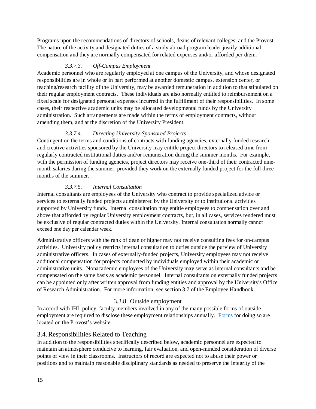Programs upon the recommendations of directors of schools, deans of relevant colleges, and the Provost. The nature of the activity and designated duties of a study abroad program leader justify additional compensation and they are normally compensated for related expenses and/or afforded per diem.

#### *3.3.7.3. Off-Campus Employment*

Academic personnel who are regularly employed at one campus of the University, and whose designated responsibilities are in whole or in part performed at another domestic campus, extension center, or teaching/research facility of the University, may be awarded remuneration in addition to that stipulated on their regular employment contracts. These individuals are also normally entitled to reimbursement on a fixed scale for designated personal expenses incurred in the fulfillment of their responsibilities. In some cases, their respective academic units may be allocated developmental funds by the University administration. Such arrangements are made within the terms of employment contracts, without amending them, and at the discretion of the University President.

#### *3.3.7.4. Directing University-Sponsored Projects*

Contingent on the terms and conditions of contracts with funding agencies, externally funded research and creative activities sponsored by the University may entitle project directors to released time from regularly contracted institutional duties and/or remuneration during the summer months. For example, with the permission of funding agencies, project directors may receive one-third of their contracted ninemonth salaries during the summer, provided they work on the externally funded project for the full three months of the summer.

#### *3.3.7.5. Internal Consultation*

Internal consultants are employees of the University who contract to provide specialized advice or services to externally funded projects administered by the University or to institutional activities supported by University funds. Internal consultation may entitle employees to compensation over and above that afforded by regular University employment contracts, but, in all cases, services rendered must be exclusive of regular contracted duties within the University. Internal consultation normally cannot exceed one day per calendar week.

Administrative officers with the rank of dean or higher may not receive consulting fees for on-campus activities. University policy restricts internal consultation to duties outside the purview of University administrative officers. In cases of externally-funded projects, University employees may not receive additional compensation for projects conducted by individuals employed within their academic or administrative units. Nonacademic employees of the University may serve as internal consultants and be compensated on the same basis as academic personnel. Internal consultants on externally funded projects can be appointed only after written approval from funding entities and approval by the University's Office of Research Administration. For more information, see section 3.7 of the Employee Handbook.

#### 3.3.8. Outside employment

<span id="page-20-0"></span>In accord with IHL policy, faculty members involved in any of the many possible forms of outside employment are required to disclose these employment relationships annually. [Forms](https://www.usm.edu/sites/default/files/groups/employment-hr/pdf/application_to_engage_in_outside_employment_112018.pdf) for doing so are located on the Provost's website.

#### <span id="page-20-1"></span>3.4.Responsibilities Related to Teaching

In addition to the responsibilities specifically described below, academic personnel are expected to maintain an atmosphere conducive to learning, fair evaluation, and open-minded consideration of diverse points of view in their classrooms. Instructors of record are expected not to abuse their power or positions and to maintain reasonable disciplinary standards as needed to preserve the integrity of the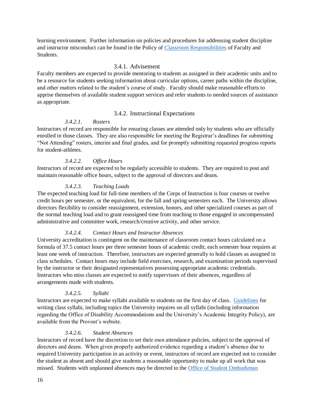learning environment. Further information on policies and procedures for addressing student discipline and instructor misconduct can be found in the Policy of [Classroom Responsibilities](https://www.usm.edu/sites/default/files/groups/office-provost/pdf/classroom_conduct_policy.pdf) of Faculty and Students.

#### 3.4.1. Advisement

<span id="page-21-0"></span>Faculty members are expected to provide mentoring to students as assigned in their academic units and to be a resource for students seeking information about curricular options, career paths within the discipline, and other matters related to the student's course of study. Faculty should make reasonable efforts to apprise themselves of available student support services and refer students to needed sources of assistance as appropriate.

#### 3.4.2. Instructional Expectations

#### *3.4.2.1. Rosters*

<span id="page-21-1"></span>Instructors of record are responsible for ensuring classes are attended only by students who are officially enrolled in those classes. They are also responsible for meeting the Registrar's deadlines for submitting "Not Attending" rosters, interim and final grades, and for promptly submitting requested progress reports for student-athletes.

#### *3.4.2.2. Office Hours*

Instructors of record are expected to be regularly accessible to students. They are required to post and maintain reasonable office hours, subject to the approval of directors and deans.

#### *3.4.2.3. Teaching Loads*

The expected teaching load for full-time members of the Corps of Instruction is four courses or twelve credit hours per semester, or the equivalent, for the fall and spring semesters each. The University allows directors flexibility to consider reassignment, extension, honors, and other specialized courses as part of the normal teaching load and to grant reassigned time from teaching to those engaged in uncompensated administrative and committee work, research/creative activity, and other service.

#### *3.4.2.4. Contact Hours and Instructor Absences*

University accreditation is contingent on the maintenance of classroom contact hours calculated on a formula of 37.5 contact hours per three semester hours of academic credit; each semester hour requires at least one week of instruction. Therefore, instructors are expected generally to hold classes as assigned in class schedules. Contact hours may include field exercises, research, and examination periods supervised by the instructor or their designated representatives possessing appropriate academic credentials. Instructors who miss classes are expected to notify supervisors of their absences, regardless of arrangements made with students.

#### *3.4.2.5. Syllabi*

Instructors are expected to make syllabi available to students on the first day of class. [Guidelines](https://www.usm.edu/center-faculty-development/syllabi-guidelines) for writing class syllabi, including topics the University requires on all syllabi (including information regarding the Office of Disability Accommodations and the University's Academic Integrity Policy), are available from the Provost's website.

#### *3.4.2.6. Student Absences*

Instructors of record have the discretion to set their own attendance policies, subject to the approval of directors and deans. When given properly authorized evidence regarding a student's absence due to required University participation in an activity or event, instructors of record are expected not to consider the student as absent and should give students a reasonable opportunity to make up all work that was missed. Students with unplanned absences may be directed to the [Office of Student Ombudsman](https://www.usm.edu/student-affairs/office-student-ombudsman-services)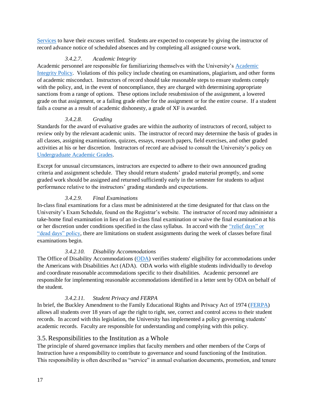[Services](https://www.usm.edu/student-affairs/office-student-ombudsman-services) to have their excuses verified. Students are expected to cooperate by giving the instructor of record advance notice of scheduled absences and by completing all assigned course work.

#### *3.4.2.7. Academic Integrity*

Academic personnel are responsible for familiarizing themselves with the University's [Academic](https://www.usm.edu/sites/default/files/groups/institutional-policies/pdf/acaf-pro-012_-_academic_integrity_policy.pdf)  [Integrity Policy.](https://www.usm.edu/sites/default/files/groups/institutional-policies/pdf/acaf-pro-012_-_academic_integrity_policy.pdf) Violations of this policy include cheating on examinations, plagiarism, and other forms of academic misconduct. Instructors of record should take reasonable steps to ensure students comply with the policy, and, in the event of noncompliance, they are charged with determining appropriate sanctions from a range of options. These options include resubmission of the assignment, a lowered grade on that assignment, or a failing grade either for the assignment or for the entire course. If a student fails a course as a result of academic dishonesty, a grade of XF is awarded.

#### *3.4.2.8. Grading*

Standards for the award of evaluative grades are within the authority of instructors of record, subject to review only by the relevant academic units. The instructor of record may determine the basis of grades in all classes, assigning examinations, quizzes, essays, research papers, field exercises, and other graded activities at his or her discretion. Instructors of record are advised to consult the University's policy on [Undergraduate Academic Grades.](https://www.usm.edu/institutional-policies/policy-stua-reg-013)

Except for unusual circumstances, instructors are expected to adhere to their own announced grading criteria and assignment schedule. They should return students' graded material promptly, and some graded work should be assigned and returned sufficiently early in the semester for students to adjust performance relative to the instructors' grading standards and expectations.

#### *3.4.2.9. Final Examinations*

In-class final examinations for a class must be administered at the time designated for that class on the University's Exam Schedule, found on the Registrar's website. The instructor of record may administer a take-home final examination in lieu of an in-class final examination or waive the final examination at his or her discretion under conditions specified in the class syllabus. In accord with the ["relief days" or](https://www.usm.edu/institutional-policies/policy-stua-ds-017)  ["dead days" policy,](https://www.usm.edu/institutional-policies/policy-stua-ds-017) there are limitations on student assignments during the week of classes before final examinations begin.

#### *3.4.2.10. Disability Accommodations*

The Office of Disability Accommodations [\(ODA\)](https://www.usm.edu/oda) verifies students' eligibility for accommodations under the Americans with Disabilities Act (ADA). ODA works with eligible students individually to develop and coordinate reasonable accommodations specific to their disabilities. Academic personnel are responsible for implementing reasonable accommodations identified in a letter sent by ODA on behalf of the student.

#### *3.4.2.11. Student Privacy and FERPA*

In brief, the Buckley Amendment to the Family Educational Rights and Privacy Act of 1974 [\(FERPA\)](https://www.usm.edu/institutional-policies/policy-stua-reg-001) allows all students over 18 years of age the right to right, see, correct and control access to their student records. In accord with this legislation, the University has implemented a policy governing students' academic records. Faculty are responsible for understanding and complying with this policy.

#### <span id="page-22-0"></span>3.5.Responsibilities to the Institution as a Whole

The principle of shared governance implies that faculty members and other members of the Corps of Instruction have a responsibility to contribute to governance and sound functioning of the Institution. This responsibility is often described as "service" in annual evaluation documents, promotion, and tenure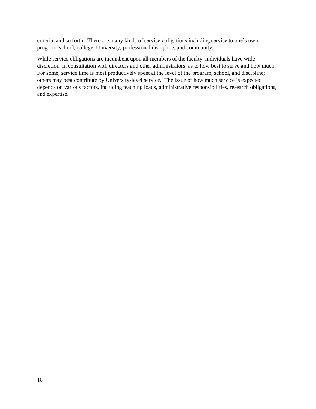criteria, and so forth. There are many kinds of service obligations including service to one's own program, school, college, University, professional discipline, and community.

While service obligations are incumbent upon all members of the faculty, individuals have wide discretion, in consultation with directors and other administrators, as to how best to serve and how much. For some, service time is most productively spent at the level of the program, school, and discipline; others may best contribute by University-level service. The issue of how much service is expected depends on various factors, including teaching loads, administrative responsibilities, research obligations, and expertise.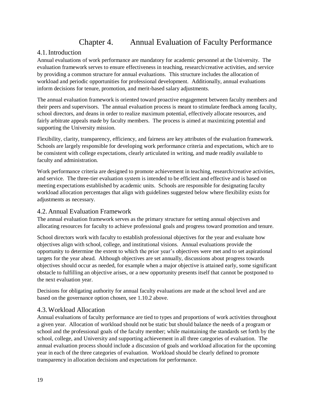## Chapter 4. Annual Evaluation of Faculty Performance

#### <span id="page-24-1"></span><span id="page-24-0"></span>4.1.Introduction

Annual evaluations of work performance are mandatory for academic personnel at the University. The evaluation framework serves to ensure effectiveness in teaching, research/creative activities, and service by providing a common structure for annual evaluations. This structure includes the allocation of workload and periodic opportunities for professional development. Additionally, annual evaluations inform decisions for tenure, promotion, and merit-based salary adjustments.

The annual evaluation framework is oriented toward proactive engagement between faculty members and their peers and supervisors. The annual evaluation process is meant to stimulate feedback among faculty, school directors, and deans in order to realize maximum potential, effectively allocate resources, and fairly arbitrate appeals made by faculty members. The process is aimed at maximizing potential and supporting the University mission.

Flexibility, clarity, transparency, efficiency, and fairness are key attributes of the evaluation framework. Schools are largely responsible for developing work performance criteria and expectations, which are to be consistent with college expectations, clearly articulated in writing, and made readily available to faculty and administration.

Work performance criteria are designed to promote achievement in teaching, research/creative activities, and service. The three-tier evaluation system is intended to be efficient and effective and is based on meeting expectations established by academic units. Schools are responsible for designating faculty workload allocation percentages that align with guidelines suggested below where flexibility exists for adjustments as necessary.

#### <span id="page-24-2"></span>4.2. Annual Evaluation Framework

The annual evaluation framework serves as the primary structure for setting annual objectives and allocating resources for faculty to achieve professional goals and progress toward promotion and tenure.

School directors work with faculty to establish professional objectives for the year and evaluate how objectives align with school, college, and institutional visions. Annual evaluations provide the opportunity to determine the extent to which the prior year's objectives were met and to set aspirational targets for the year ahead. Although objectives are set annually, discussions about progress towards objectives should occur as needed, for example when a major objective is attained early, some significant obstacle to fulfilling an objective arises, or a new opportunity presents itself that cannot be postponed to the next evaluation year.

Decisions for obligating authority for annual faculty evaluations are made at the school level and are based on the governance option chosen, see [1.10.2 above.](#page-11-0)

#### <span id="page-24-3"></span>4.3.Workload Allocation

Annual evaluations of faculty performance are tied to types and proportions of work activities throughout a given year. Allocation of workload should not be static but should balance the needs of a program or school and the professional goals of the faculty member; while maintaining the standards set forth by the school, college, and University and supporting achievement in all three categories of evaluation. The annual evaluation process should include a discussion of goals and workload allocation for the upcoming year in each of the three categories of evaluation. Workload should be clearly defined to promote transparency in allocation decisions and expectations for performance.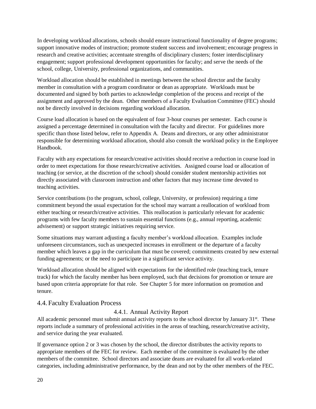In developing workload allocations, schools should ensure instructional functionality of degree programs; support innovative modes of instruction; promote student success and involvement; encourage progress in research and creative activities; accentuate strengths of disciplinary clusters; foster interdisciplinary engagement; support professional development opportunities for faculty; and serve the needs of the school, college, University, professional organizations, and communities.

Workload allocation should be established in meetings between the school director and the faculty member in consultation with a program coordinator or dean as appropriate. Workloads must be documented and signed by both parties to acknowledge completion of the process and receipt of the assignment and approved by the dean. Other members of a Faculty Evaluation Committee (FEC) should not be directly involved in decisions regarding workload allocation*.*

Course load allocation is based on the equivalent of four 3-hour courses per semester. Each course is assigned a percentage determined in consultation with the faculty and director. For guidelines more specific than those listed below, refer to [Appendix A.](#page-62-0) Deans and directors, or any other administrator responsible for determining workload allocation, should also consult the workload policy in the Employee Handbook.

Faculty with any expectations for research/creative activities should receive a reduction in course load in order to meet expectations for those research/creative activities. Assigned course load or allocation of teaching (or service, at the discretion of the school) should consider student mentorship activities not directly associated with classroom instruction and other factors that may increase time devoted to teaching activities.

Service contributions (to the program, school, college, University, or profession) requiring a time commitment beyond the usual expectation for the school may warrant a reallocation of workload from either teaching or research/creative activities. This reallocation is particularly relevant for academic programs with few faculty members to sustain essential functions (e.g., annual reporting, academic advisement) or support strategic initiatives requiring service.

Some situations may warrant adjusting a faculty member's workload allocation. Examples include unforeseen circumstances, such as unexpected increases in enrollment or the departure of a faculty member which leaves a gap in the curriculum that must be covered; commitments created by new external funding agreements; or the need to participate in a significant service activity.

Workload allocation should be aligned with expectations for the identified role (teaching track, tenure track) for which the faculty member has been employed, such that decisions for promotion or tenure are based upon criteria appropriate for that role. See [Chapter 5](#page-32-0) for more information on promotion and tenure.

#### <span id="page-25-1"></span><span id="page-25-0"></span>4.4. Faculty Evaluation Process

#### 4.4.1. Annual Activity Report

All academic personnel must submit annual activity reports to the school director by January 31<sup>st</sup>. These reports include a summary of professional activities in the areas of teaching, research/creative activity, and service during the year evaluated.

If governance option 2 or 3 was chosen by the school, the director distributes the activity reports to appropriate members of the FEC for review. Each member of the committee is evaluated by the other members of the committee. School directors and associate deans are evaluated for all work-related categories, including administrative performance, by the dean and not by the other members of the FEC.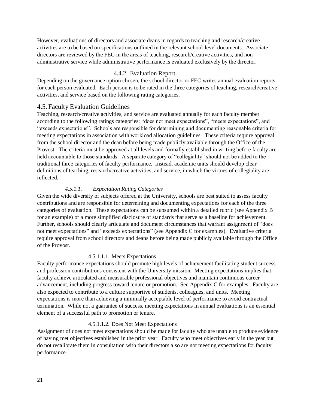However, evaluations of directors and associate deans in regards to teaching and research/creative activities are to be based on specifications outlined in the relevant school-level documents. Associate directors are reviewed by the FEC in the areas of teaching, research/creative activities, and nonadministrative service while administrative performance is evaluated exclusively by the director.

#### 4.4.2. Evaluation Report

<span id="page-26-0"></span>Depending on the governance option chosen, the school director or FEC writes annual evaluation reports for each person evaluated. Each person is to be rated in the three categories of teaching, research/creative activities, and service based on the following rating categories.

#### <span id="page-26-1"></span>4.5. Faculty Evaluation Guidelines

Teaching, research/creative activities, and service are evaluated annually for each faculty member according to the following ratings categories: "does not meet expectations", "meets expectations", and "exceeds expectations". Schools are responsible for determining and documenting reasonable criteria for meeting expectations in association with workload allocation guidelines. These criteria require approval from the school director and the dean before being made publicly available through the Office of the Provost. The criteria must be approved at all levels and formally established in writing before faculty are held accountable to those standards. A separate category of "collegiality" should not be added to the traditional three categories of faculty performance. Instead, academic units should develop clear definitions of teaching, research/creative activities, and service, in which the virtues of collegiality are reflected.

#### *4.5.1.1. Expectation Rating Categories*

Given the wide diversity of subjects offered at the University, schools are best suited to assess faculty contributions and are responsible for determining and documenting expectations for each of the three categories of evaluation. These expectations can be subsumed within a detailed rubric (see [Appendix B](#page-64-0) for an example) or a more simplified disclosure of standards that serve as a baseline for achievement. Further, schools should clearly articulate and document circumstances that warrant assignment of "does not meet expectations" and "exceeds expectations" (see [Appendix C](#page-68-0) for examples). Evaluative criteria require approval from school directors and deans before being made publicly available through the Office of the Provost.

#### 4.5.1.1.1. Meets Expectations

Faculty performance expectations should promote high levels of achievement facilitating student success and profession contributions consistent with the University mission. Meeting expectations implies that faculty achieve articulated and measurable professional objectives and maintain continuous career advancement, including progress toward tenure or promotion. See [Appendix C](#page-68-0) for examples. Faculty are also expected to contribute to a culture supportive of students, colleagues, and units. Meeting expectations is more than achieving a minimally acceptable level of performance to avoid contractual termination. While not a guarantee of success, meeting expectations in annual evaluations is an essential element of a successful path to promotion or tenure.

#### 4.5.1.1.2. Does Not Meet Expectations

Assignment of does not meet expectations should be made for faculty who are unable to produce evidence of having met objectives established in the prior year. Faculty who meet objectives early in the year but do not recalibrate them in consultation with their directors also are not meeting expectations for faculty performance.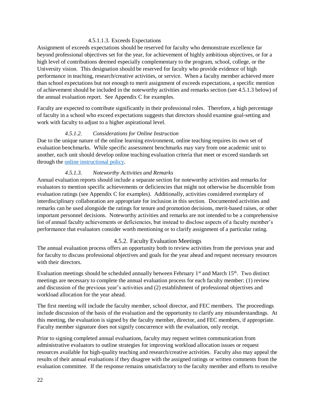#### 4.5.1.1.3. Exceeds Expectations

Assignment of exceeds expectations should be reserved for faculty who demonstrate excellence far beyond professional objectives set for the year, for achievement of highly ambitious objectives, or for a high level of contributions deemed especially complementary to the program, school, college, or the University vision. This designation should be reserved for faculty who provide evidence of high performance in teaching, research/creative activities, or service. When a faculty member achieved more than school expectations but not enough to merit assignment of exceeds expectations, a specific mention of achievement should be included in the noteworthy activities and remarks section (see [4.5.1.3 below\)](#page-27-1) of the annual evaluation report. See [Appendix C](#page-68-0) for examples.

Faculty are expected to contribute significantly in their professional roles. Therefore, a high percentage of faculty in a school who exceed expectations suggests that directors should examine goal-setting and work with faculty to adjust to a higher aspirational level.

#### *4.5.1.2. Considerations for Online Instruction*

Due to the unique nature of the online learning environment, online teaching requires its own set of evaluation benchmarks. While specific assessment benchmarks may vary from one academic unit to another, each unit should develop online teaching evaluation criteria that meet or exceed standards set through the [online instructional policy.](https://www.usm.edu/institutional-policies/policy-acaf-ool-001)

#### *4.5.1.3. Noteworthy Activities and Remarks*

<span id="page-27-1"></span>Annual evaluation reports should include a separate section for noteworthy activities and remarks for evaluators to mention specific achievements or deficiencies that might not otherwise be discernible from evaluation ratings (see [Appendix C](#page-68-0) for examples). Additionally, activities considered exemplary of interdisciplinary collaboration are appropriate for inclusion in this section. Documented activities and remarks can be used alongside the ratings for tenure and promotion decisions, merit-based raises, or other important personnel decisions. Noteworthy activities and remarks are not intended to be a comprehensive list of annual faculty achievements or deficiencies, but instead to disclose aspects of a faculty member's performance that evaluators consider worth mentioning or to clarify assignment of a particular rating.

#### 4.5.2. Faculty Evaluation Meetings

<span id="page-27-0"></span>The annual evaluation process offers an opportunity both to review activities from the previous year and for faculty to discuss professional objectives and goals for the year ahead and request necessary resources with their directors.

Evaluation meetings should be scheduled annually between February 1<sup>st</sup> and March 15<sup>th</sup>. Two distinct meetings are necessary to complete the annual evaluation process for each faculty member: (1) review and discussion of the previous year's activities and (2) establishment of professional objectives and workload allocation for the year ahead.

The first meeting will include the faculty member, school director, and FEC members. The proceedings include discussion of the basis of the evaluation and the opportunity to clarify any misunderstandings. At this meeting, the evaluation is signed by the faculty member, director, and FEC members, if appropriate. Faculty member signature does not signify concurrence with the evaluation, only receipt.

Prior to signing completed annual evaluations, faculty may request written communication from administrative evaluators to outline strategies for improving workload allocation issues or request resources available for high-quality teaching and research/creative activities. Faculty also may appeal the results of their annual evaluations if they disagree with the assigned ratings or written comments from the evaluation committee. If the response remains unsatisfactory to the faculty member and efforts to resolve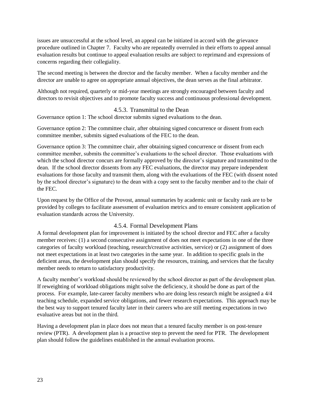issues are unsuccessful at the school level, an appeal can be initiated in accord with the grievance procedure outlined in [Chapter 7.](#page-51-0) Faculty who are repeatedly overruled in their efforts to appeal annual evaluation results but continue to appeal evaluation results are subject to reprimand and expressions of concerns regarding their collegiality.

The second meeting is between the director and the faculty member. When a faculty member and the director are unable to agree on appropriate annual objectives, the dean serves as the final arbitrator.

Although not required, quarterly or mid-year meetings are strongly encouraged between faculty and directors to revisit objectives and to promote faculty success and continuous professional development.

#### 4.5.3. Transmittal to the Dean

<span id="page-28-0"></span>Governance option 1: The school director submits signed evaluations to the dean.

Governance option 2: The committee chair, after obtaining signed concurrence or dissent from each committee member, submits signed evaluations of the FEC to the dean.

Governance option 3: The committee chair, after obtaining signed concurrence or dissent from each committee member, submits the committee's evaluations to the school director. Those evaluations with which the school director concurs are formally approved by the director's signature and transmitted to the dean. If the school director dissents from any FEC evaluations, the director may prepare independent evaluations for those faculty and transmit them, along with the evaluations of the FEC (with dissent noted by the school director's signature) to the dean with a copy sent to the faculty member and to the chair of the FEC.

Upon request by the Office of the Provost, annual summaries by academic unit or faculty rank are to be provided by colleges to facilitate assessment of evaluation metrics and to ensure consistent application of evaluation standards across the University.

#### 4.5.4. Formal Development Plans

<span id="page-28-1"></span>A formal development plan for improvement is initiated by the school director and FEC after a faculty member receives: (1) a second consecutive assignment of does not meet expectations in one of the three categories of faculty workload (teaching, research/creative activities, service) or (2) assignment of does not meet expectations in at least two categories in the same year. In addition to specific goals in the deficient areas, the development plan should specify the resources, training, and services that the faculty member needs to return to satisfactory productivity.

A faculty member's workload should be reviewed by the school director as part of the development plan. If reweighting of workload obligations might solve the deficiency, it should be done as part of the process. For example, late-career faculty members who are doing less research might be assigned a 4/4 teaching schedule, expanded service obligations, and fewer research expectations. This approach may be the best way to support tenured faculty later in their careers who are still meeting expectations in two evaluative areas but not in the third.

Having a development plan in place does not mean that a tenured faculty member is on post-tenure review (PTR). A development plan is a proactive step to prevent the need for PTR. The development plan should follow the guidelines established in the annual evaluation process.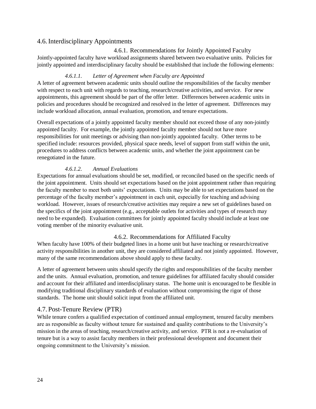#### <span id="page-29-0"></span>4.6.Interdisciplinary Appointments

<span id="page-29-1"></span>4.6.1. Recommendations for Jointly Appointed Faculty Jointly-appointed faculty have workload assignments shared between two evaluative units. Policies for jointly appointed and interdisciplinary faculty should be established that include the following elements:

#### *4.6.1.1. Letter of Agreement when Faculty are Appointed*

A letter of agreement between academic units should outline the responsibilities of the faculty member with respect to each unit with regards to teaching, research/creative activities, and service. For new appointments, this agreement should be part of the offer letter. Differences between academic units in policies and procedures should be recognized and resolved in the letter of agreement. Differences may include workload allocation, annual evaluation, promotion, and tenure expectations.

Overall expectations of a jointly appointed faculty member should not exceed those of any non-jointly appointed faculty. For example, the jointly appointed faculty member should not have more responsibilities for unit meetings or advising than non-jointly appointed faculty. Other terms to be specified include: resources provided, physical space needs, level of support from staff within the unit, procedures to address conflicts between academic units, and whether the joint appointment can be renegotiated in the future.

#### *4.6.1.2. Annual Evaluations*

Expectations for annual evaluations should be set, modified, or reconciled based on the specific needs of the joint appointment. Units should set expectations based on the joint appointment rather than requiring the faculty member to meet both units' expectations. Units may be able to set expectations based on the percentage of the faculty member's appointment in each unit, especially for teaching and advising workload. However, issues of research/creative activities may require a new set of guidelines based on the specifics of the joint appointment (e.g., acceptable outlets for activities and types of research may need to be expanded). Evaluation committees for jointly appointed faculty should include at least one voting member of the minority evaluative unit.

#### 4.6.2. Recommendations for Affiliated Faculty

<span id="page-29-2"></span>When faculty have 100% of their budgeted lines in a home unit but have teaching or research/creative activity responsibilities in another unit, they are considered affiliated and not jointly appointed. However, many of the same recommendations above should apply to these faculty.

A letter of agreement between units should specify the rights and responsibilities of the faculty member and the units. Annual evaluation, promotion, and tenure guidelines for affiliated faculty should consider and account for their affiliated and interdisciplinary status. The home unit is encouraged to be flexible in modifying traditional disciplinary standards of evaluation without compromising the rigor of those standards. The home unit should solicit input from the affiliated unit.

#### <span id="page-29-3"></span>4.7. Post-Tenure Review (PTR)

While tenure confers a qualified expectation of continued annual employment, tenured faculty members are as responsible as faculty without tenure for sustained and quality contributions to the University's mission in the areas of teaching, research/creative activity, and service. PTR is not a re-evaluation of tenure but is a way to assist faculty members in their professional development and document their ongoing commitment to the University's mission.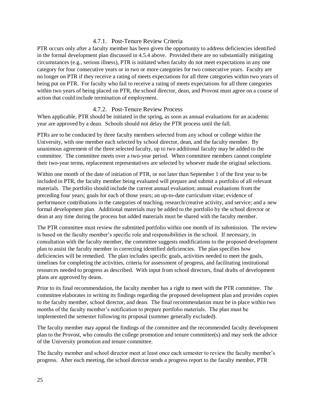#### 4.7.1. Post-Tenure Review Criteria

<span id="page-30-0"></span>PTR occurs only after a faculty member has been given the opportunity to address deficiencies identified in the formal development plan discussed in [4.5.4 above.](#page-28-1) Provided there are no substantially mitigating circumstances (e.g., serious illness), PTR is initiated when faculty do not meet expectations in any one category for four consecutive years or in two or more categories for two consecutive years. Faculty are no longer on PTR if they receive a rating of meets expectations for all three categories within two years of being put on PTR. For faculty who fail to receive a rating of meets expectations for all three categories within two years of being placed on PTR, the school director, dean, and Provost must agree on a course of action that could include termination of employment.

#### 4.7.2. Post-Tenure Review Process

<span id="page-30-1"></span>When applicable, PTR should be initiated in the spring, as soon as annual evaluations for an academic year are approved by a dean. Schools should not delay the PTR process until the fall.

PTRs are to be conducted by three faculty members selected from any school or college within the University, with one member each selected by school director, dean, and the faculty member. By unanimous agreement of the three selected faculty, up to two additional faculty may be added to the committee. The committee meets over a two-year period. When committee members cannot complete their two-year terms, replacement representatives are selected by whoever made the original selections.

Within one month of the date of initiation of PTR, or not later than September 1 of the first year to be included in PTR, the faculty member being evaluated will prepare and submit a portfolio of all relevant materials. The portfolio should include the current annual evaluation; annual evaluations from the preceding four years; goals for each of those years; an up-to-date curriculum vitae; evidence of performance contributions in the categories of teaching, research/creative activity, and service; and a new formal development plan. Additional materials may be added to the portfolio by the school director or dean at any time during the process but added materials must be shared with the faculty member.

The PTR committee must review the submitted portfolio within one month of its submission. The review is based on the faculty member's specific role and responsibilities in the school. If necessary, in consultation with the faculty member, the committee suggests modifications to the proposed development plan to assist the faculty member in correcting identified deficiencies. The plan specifies how deficiencies will be remedied. The plan includes specific goals, activities needed to meet the goals, timelines for completing the activities, criteria for assessment of progress, and facilitating institutional resources needed to progress as described. With input from school directors, final drafts of development plans are approved by deans.

Prior to its final recommendation, the faculty member has a right to meet with the PTR committee. The committee elaborates in writing its findings regarding the proposed development plan and provides copies to the faculty member, school director, and dean. The final recommendation must be in place within two months of the faculty member's notification to prepare portfolio materials. The plan must be implemented the semester following its proposal (summer generally excluded).

The faculty member may appeal the findings of the committee and the recommended faculty development plan to the Provost, who consults the college promotion and tenure committee(s) and may seek the advice of the University promotion and tenure committee.

The faculty member and school director meet at least once each semester to review the faculty member's progress. After each meeting, the school director sends a progress report to the faculty member, PTR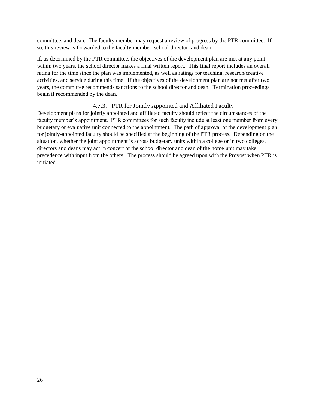committee, and dean. The faculty member may request a review of progress by the PTR committee. If so, this review is forwarded to the faculty member, school director, and dean.

If, as determined by the PTR committee, the objectives of the development plan are met at any point within two years, the school director makes a final written report. This final report includes an overall rating for the time since the plan was implemented, as well as ratings for teaching, research/creative activities, and service during this time. If the objectives of the development plan are not met after two years, the committee recommends sanctions to the school director and dean. Termination proceedings begin if recommended by the dean.

#### 4.7.3. PTR for Jointly Appointed and Affiliated Faculty

<span id="page-31-0"></span>Development plans for jointly appointed and affiliated faculty should reflect the circumstances of the faculty member's appointment. PTR committees for such faculty include at least one member from every budgetary or evaluative unit connected to the appointment. The path of approval of the development plan for jointly-appointed faculty should be specified at the beginning of the PTR process. Depending on the situation, whether the joint appointment is across budgetary units within a college or in two colleges, directors and deans may act in concert or the school director and dean of the home unit may take precedence with input from the others. The process should be agreed upon with the Provost when PTR is initiated.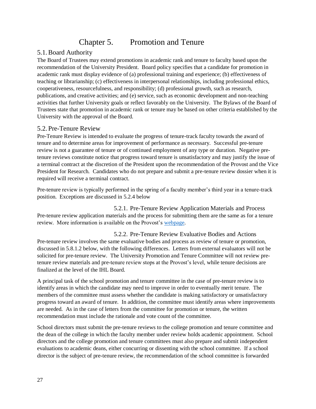## Chapter 5. Promotion and Tenure

#### <span id="page-32-1"></span><span id="page-32-0"></span>5.1.Board Authority

The Board of Trustees may extend promotions in academic rank and tenure to faculty based upon the recommendation of the University President. Board policy specifies that a candidate for promotion in academic rank must display evidence of (a) professional training and experience; (b) effectiveness of teaching or librarianship; (c) effectiveness in interpersonal relationships, including professional ethics, cooperativeness, resourcefulness, and responsibility; (d) professional growth, such as research, publications, and creative activities; and (e) service, such as economic development and non-teaching activities that further University goals or reflect favorably on the University. The Bylaws of the Board of Trustees state that promotion in academic rank or tenure may be based on other criteria established by the University with the approval of the Board.

#### <span id="page-32-2"></span>5.2. Pre-Tenure Review

Pre-Tenure Review is intended to evaluate the progress of tenure-track faculty towards the award of tenure and to determine areas for improvement of performance as necessary. Successful pre-tenure review is not a guarantee of tenure or of continued employment of any type or duration. Negative pretenure reviews constitute notice that progress toward tenure is unsatisfactory and may justify the issue of a terminal contract at the discretion of the President upon the recommendation of the Provost and the Vice President for Research. Candidates who do not prepare and submit a pre-tenure review dossier when it is required will receive a terminal contract.

Pre-tenure review is typically performed in the spring of a faculty member's third year in a tenure-track position. Exceptions are discussed in [5.2.4 below](#page-33-1)

<span id="page-32-3"></span>5.2.1. Pre-Tenure Review Application Materials and Process Pre-tenure review application materials and the process for submitting them are the same as for a tenure review. More information is available on the Provost's [webpage.](https://www.usm.edu/provost/promotion-and-tenure)

<span id="page-32-4"></span>5.2.2. Pre-Tenure Review Evaluative Bodies and Actions Pre-tenure review involves the same evaluative bodies and process as review of tenure or promotion, discussed in 5.8.1.2 below, with the following differences. Letters from external evaluators will not be solicited for pre-tenure review. The University Promotion and Tenure Committee will not review pretenure review materials and pre-tenure review stops at the Provost's level, while tenure decisions are finalized at the level of the IHL Board.

A principal task of the school promotion and tenure committee in the case of pre-tenure review is to identify areas in which the candidate may need to improve in order to eventually merit tenure. The members of the committee must assess whether the candidate is making satisfactory or unsatisfactory progress toward an award of tenure. In addition, the committee must identify areas where improvements are needed. As in the case of letters from the committee for promotion or tenure, the written recommendation must include the rationale and vote count of the committee.

School directors must submit the pre-tenure reviews to the college promotion and tenure committee and the dean of the college in which the faculty member under review holds academic appointment. School directors and the college promotion and tenure committees must also prepare and submit independent evaluations to academic deans, either concurring or dissenting with the school committee. If a school director is the subject of pre-tenure review, the recommendation of the school committee is forwarded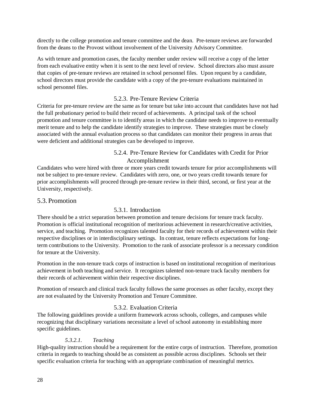directly to the college promotion and tenure committee and the dean. Pre-tenure reviews are forwarded from the deans to the Provost without involvement of the University Advisory Committee.

As with tenure and promotion cases, the faculty member under review will receive a copy of the letter from each evaluative entity when it is sent to the next level of review. School directors also must assure that copies of pre-tenure reviews are retained in school personnel files. Upon request by a candidate, school directors must provide the candidate with a copy of the pre-tenure evaluations maintained in school personnel files.

#### 5.2.3. Pre-Tenure Review Criteria

<span id="page-33-0"></span>Criteria for pre-tenure review are the same as for tenure but take into account that candidates have not had the full probationary period to build their record of achievements. A principal task of the school promotion and tenure committee is to identify areas in which the candidate needs to improve to eventually merit tenure and to help the candidate identify strategies to improve. These strategies must be closely associated with the annual evaluation process so that candidates can monitor their progress in areas that were deficient and additional strategies can be developed to improve.

#### 5.2.4. Pre-Tenure Review for Candidates with Credit for Prior Accomplishment

<span id="page-33-1"></span>Candidates who were hired with three or more years credit towards tenure for prior accomplishments will not be subject to pre-tenure review. Candidates with zero, one, or two years credit towards tenure for prior accomplishments will proceed through pre-tenure review in their third, second, or first year at the University, respectively.

#### <span id="page-33-3"></span><span id="page-33-2"></span>5.3. Promotion

#### 5.3.1. Introduction

There should be a strict separation between promotion and tenure decisions for tenure track faculty. Promotion is official institutional recognition of meritorious achievement in research/creative activities, service, and teaching. Promotion recognizes talented faculty for their records of achievement within their respective disciplines or in interdisciplinary settings. In contrast, tenure reflects expectations for longterm contributions to the University. Promotion to the rank of associate professor is a necessary condition for tenure at the University.

Promotion in the non-tenure track corps of instruction is based on institutional recognition of meritorious achievement in both teaching and service. It recognizes talented non-tenure track faculty members for their records of achievement within their respective disciplines.

Promotion of research and clinical track faculty follows the same processes as other faculty, except they are not evaluated by the University Promotion and Tenure Committee.

#### 5.3.2. Evaluation Criteria

<span id="page-33-4"></span>The following guidelines provide a uniform framework across schools, colleges, and campuses while recognizing that disciplinary variations necessitate a level of school autonomy in establishing more specific guidelines.

#### *5.3.2.1. Teaching*

High-quality instruction should be a requirement for the entire corps of instruction. Therefore, promotion criteria in regards to teaching should be as consistent as possible across disciplines. Schools set their specific evaluation criteria for teaching with an appropriate combination of meaningful metrics.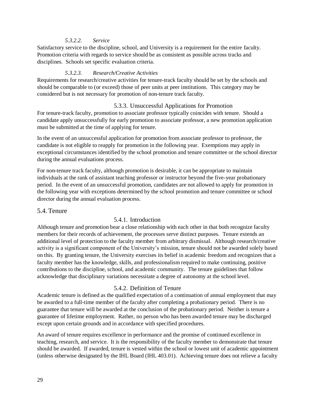#### *5.3.2.2. Service*

Satisfactory service to the discipline, school, and University is a requirement for the entire faculty. Promotion criteria with regards to service should be as consistent as possible across tracks and disciplines. Schools set specific evaluation criteria.

#### *5.3.2.3. Research/Creative Activities*

Requirements for research/creative activities for tenure-track faculty should be set by the schools and should be comparable to (or exceed) those of peer units at peer institutions. This category may be considered but is not necessary for promotion of non-tenure track faculty.

#### 5.3.3. Unsuccessful Applications for Promotion

<span id="page-34-0"></span>For tenure-track faculty, promotion to associate professor typically coincides with tenure. Should a candidate apply unsuccessfully for early promotion to associate professor, a new promotion application must be submitted at the time of applying for tenure.

In the event of an unsuccessful application for promotion from associate professor to professor, the candidate is not eligible to reapply for promotion in the following year. Exemptions may apply in exceptional circumstances identified by the school promotion and tenure committee or the school director during the annual evaluations process.

For non-tenure track faculty, although promotion is desirable, it can be appropriate to maintain individuals at the rank of assistant teaching professor or instructor beyond the five-year probationary period. In the event of an unsuccessful promotion, candidates are not allowed to apply for promotion in the following year with exceptions determined by the school promotion and tenure committee or school director during the annual evaluation process.

#### <span id="page-34-2"></span><span id="page-34-1"></span>5.4. Tenure

#### 5.4.1. Introduction

Although tenure and promotion bear a close relationship with each other in that both recognize faculty members for their records of achievement, the processes serve distinct purposes. Tenure extends an additional level of protection to the faculty member from arbitrary dismissal. Although research/creative activity is a significant component of the University's mission, tenure should not be awarded solely based on this. By granting tenure, the University exercises its belief in academic freedom and recognizes that a faculty member has the knowledge, skills, and professionalism required to make continuing, positive contributions to the discipline, school, and academic community. The tenure guidelines that follow acknowledge that disciplinary variations necessitate a degree of autonomy at the school level.

#### 5.4.2. Definition of Tenure

<span id="page-34-3"></span>Academic tenure is defined as the qualified expectation of a continuation of annual employment that may be awarded to a full-time member of the faculty after completing a probationary period. There is no guarantee that tenure will be awarded at the conclusion of the probationary period. Neither is tenure a guarantee of lifetime employment. Rather, no person who has been awarded tenure may be discharged except upon certain grounds and in accordance with specified procedures.

An award of tenure requires excellence in performance and the promise of continued excellence in teaching, research, and service. It is the responsibility of the faculty member to demonstrate that tenure should be awarded. If awarded, tenure is vested within the school or lowest unit of academic appointment (unless otherwise designated by the IHL Board (IHL 403.01). Achieving tenure does not relieve a faculty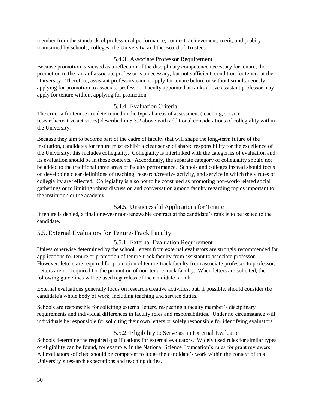member from the standards of professional performance, conduct, achievement, merit, and probity maintained by schools, colleges, the University, and the Board of Trustees.

#### 5.4.3. Associate Professor Requirement

<span id="page-35-0"></span>Because promotion is viewed as a reflection of the disciplinary competence necessary for tenure, the promotion to the rank of associate professor is a necessary, but not sufficient, condition for tenure at the University. Therefore, assistant professors cannot apply for tenure before or without simultaneously applying for promotion to associate professor. Faculty appointed at ranks above assistant professor may apply for tenure without applying for promotion.

#### 5.4.4. Evaluation Criteria

<span id="page-35-1"></span>The criteria for tenure are determined in the typical areas of assessment (teaching, service, research/creative activities) described in [5.3.2 above](#page-33-4) with additional considerations of collegiality within the University.

Because they aim to become part of the cadre of faculty that will shape the long-term future of the institution, candidates for tenure must exhibit a clear sense of shared responsibility for the excellence of the University; this includes collegiality. Collegiality is interlinked with the categories of evaluation and its evaluation should be in those contexts. Accordingly, the separate category of collegiality should not be added to the traditional three areas of faculty performance. Schools and colleges instead should focus on developing clear definitions of teaching, research/creative activity, and service in which the virtues of collegiality are reflected. Collegiality is also not to be construed as promoting non-work-related social gatherings or to limiting robust discussion and conversation among faculty regarding topics important to the institution or the academy.

#### 5.4.5. Unsuccessful Applications for Tenure

<span id="page-35-2"></span>If tenure is denied, a final one-year non-renewable contract at the candidate's rank is to be issued to the candidate.

#### <span id="page-35-4"></span><span id="page-35-3"></span>5.5. External Evaluators for Tenure-Track Faculty

#### 5.5.1. External Evaluation Requirement

Unless otherwise determined by the school, letters from external evaluators are strongly recommended for applications for tenure or promotion of tenure-track faculty from assistant to associate professor. However, letters are required for promotion of tenure-track faculty from associate professor to professor. Letters are not required for the promotion of non-tenure track faculty. When letters are solicited, the following guidelines will be used regardless of the candidate's rank.

External evaluations generally focus on research/creative activities, but, if possible, should consider the candidate's whole body of work, including teaching and service duties.

Schools are responsible for soliciting external letters, respecting a faculty member's disciplinary requirements and individual differences in faculty roles and responsibilities. Under no circumstance will individuals be responsible for soliciting their own letters or solely responsible for identifying evaluators.

#### 5.5.2. Eligibility to Serve as an External Evaluator

<span id="page-35-5"></span>Schools determine the required qualifications for external evaluators. Widely used rules for similar types of eligibility can be found, for example, in the National Science Foundation's rules for grant reviewers. All evaluators solicited should be competent to judge the candidate's work within the context of this University's research expectations and teaching duties.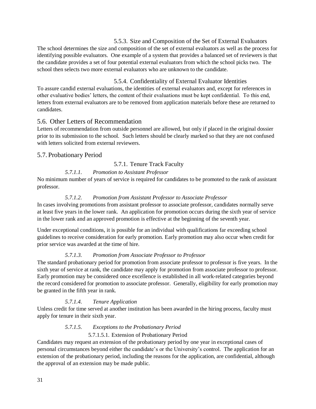5.5.3. Size and Composition of the Set of External Evaluators

<span id="page-36-0"></span>The school determines the size and composition of the set of external evaluators as well as the process for identifying possible evaluators. One example of a system that provides a balanced set of reviewers is that the candidate provides a set of four potential external evaluators from which the school picks two. The school then selects two more external evaluators who are unknown to the candidate.

<span id="page-36-1"></span>5.5.4. Confidentiality of External Evaluator Identities To assure candid external evaluations, the identities of external evaluators and, except for references in other evaluative bodies' letters, the content of their evaluations must be kept confidential. To this end, letters from external evaluators are to be removed from application materials before these are returned to candidates.

#### <span id="page-36-2"></span>5.6. Other Letters of Recommendation

Letters of recommendation from outside personnel are allowed, but only if placed in the original dossier prior to its submission to the school. Such letters should be clearly marked so that they are not confused with letters solicited from external reviewers.

#### <span id="page-36-4"></span><span id="page-36-3"></span>5.7. Probationary Period

#### 5.7.1. Tenure Track Faculty

#### *5.7.1.1. Promotion to Assistant Professor*

No minimum number of years of service is required for candidates to be promoted to the rank of assistant professor.

#### *5.7.1.2. Promotion from Assistant Professor to Associate Professor*

In cases involving promotions from assistant professor to associate professor, candidates normally serve at least five years in the lower rank. An application for promotion occurs during the sixth year of service in the lower rank and an approved promotion is effective at the beginning of the seventh year.

Under exceptional conditions, it is possible for an individual with qualifications far exceeding school guidelines to receive consideration for early promotion. Early promotion may also occur when credit for prior service was awarded at the time of hire.

#### *5.7.1.3. Promotion from Associate Professor to Professor*

The standard probationary period for promotion from associate professor to professor is five years. In the sixth year of service at rank, the candidate may apply for promotion from associate professor to professor. Early promotion may be considered once excellence is established in all work-related categories beyond the record considered for promotion to associate professor. Generally, eligibility for early promotion may be granted in the fifth year in rank.

#### *5.7.1.4. Tenure Application*

Unless credit for time served at another institution has been awarded in the hiring process, faculty must apply for tenure in their sixth year.

#### *5.7.1.5. Exceptions to the Probationary Period*

#### 5.7.1.5.1. Extension of Probationary Period

Candidates may request an extension of the probationary period by one year in exceptional cases of personal circumstances beyond either the candidate's or the University's control. The application for an extension of the probationary period, including the reasons for the application, are confidential, although the approval of an extension may be made public.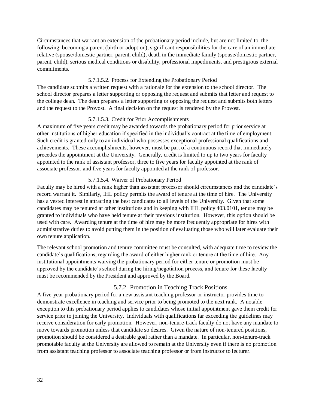Circumstances that warrant an extension of the probationary period include, but are not limited to, the following: becoming a parent (birth or adoption), significant responsibilities for the care of an immediate relative (spouse/domestic partner, parent, child), death in the immediate family (spouse/domestic partner, parent, child), serious medical conditions or disability, professional impediments, and prestigious external commitments.

#### 5.7.1.5.2. Process for Extending the Probationary Period

The candidate submits a written request with a rationale for the extension to the school director. The school director prepares a letter supporting or opposing the request and submits that letter and request to the college dean. The dean prepares a letter supporting or opposing the request and submits both letters and the request to the Provost. A final decision on the request is rendered by the Provost.

#### 5.7.1.5.3. Credit for Prior Accomplishments

A maximum of five years credit may be awarded towards the probationary period for prior service at other institutions of higher education if specified in the individual's contract at the time of employment. Such credit is granted only to an individual who possesses exceptional professional qualifications and achievements. These accomplishments, however, must be part of a continuous record that immediately precedes the appointment at the University. Generally, credit is limited to up to two years for faculty appointed to the rank of assistant professor, three to five years for faculty appointed at the rank of associate professor, and five years for faculty appointed at the rank of professor.

#### 5.7.1.5.4. Waiver of Probationary Period

Faculty may be hired with a rank higher than assistant professor should circumstances and the candidate's record warrant it. Similarly, IHL policy permits the award of tenure at the time of hire. The University has a vested interest in attracting the best candidates to all levels of the University. Given that some candidates may be tenured at other institutions and in keeping with IHL policy 403.0101, tenure may be granted to individuals who have held tenure at their previous institution. However, this option should be used with care. Awarding tenure at the time of hire may be more frequently appropriate for hires with administrative duties to avoid putting them in the position of evaluating those who will later evaluate their own tenure application.

The relevant school promotion and tenure committee must be consulted, with adequate time to review the candidate's qualifications, regarding the award of either higher rank or tenure at the time of hire. Any institutional appointments waiving the probationary period for either tenure or promotion must be approved by the candidate's school during the hiring/negotiation process, and tenure for these faculty must be recommended by the President and approved by the Board.

#### 5.7.2. Promotion in Teaching Track Positions

<span id="page-37-0"></span>A five-year probationary period for a new assistant teaching professor or instructor provides time to demonstrate excellence in teaching and service prior to being promoted to the next rank. A notable exception to this probationary period applies to candidates whose initial appointment gave them credit for service prior to joining the University. Individuals with qualifications far exceeding the guidelines may receive consideration for early promotion. However, non-tenure-track faculty do not have any mandate to move towards promotion unless that candidate so desires. Given the nature of non-tenured positions, promotion should be considered a desirable goal rather than a mandate. In particular, non-tenure-track promotable faculty at the University are allowed to remain at the University even if there is no promotion from assistant teaching professor to associate teaching professor or from instructor to lecturer.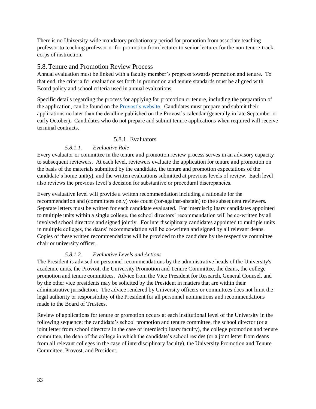There is no University-wide mandatory probationary period for promotion from associate teaching professor to teaching professor or for promotion from lecturer to senior lecturer for the non-tenure-track corps of instruction.

#### <span id="page-38-0"></span>5.8. Tenure and Promotion Review Process

Annual evaluation must be linked with a faculty member's progress towards promotion and tenure. To that end, the criteria for evaluation set forth in promotion and tenure standards must be aligned with Board policy and school criteria used in annual evaluations.

Specific details regarding the process for applying for promotion or tenure, including the preparation of the application, can be found on the [Provost's website.](https://www.usm.edu/provost/promotion-and-tenure) Candidates must prepare and submit their applications no later than the deadline published on the Provost's calendar (generally in late September or early October). Candidates who do not prepare and submit tenure applications when required will receive terminal contracts.

#### 5.8.1. Evaluators

#### *5.8.1.1. Evaluative Role*

<span id="page-38-1"></span>Every evaluator or committee in the tenure and promotion review process serves in an advisory capacity to subsequent reviewers. At each level, reviewers evaluate the application for tenure and promotion on the basis of the materials submitted by the candidate, the tenure and promotion expectations of the candidate's home unit(s), and the written evaluations submitted at previous levels of review. Each level also reviews the previous level's decision for substantive or procedural discrepancies.

Every evaluative level will provide a written recommendation including a rationale for the recommendation and (committees only) vote count (for-against-abstain) to the subsequent reviewers. Separate letters must be written for each candidate evaluated. For interdisciplinary candidates appointed to multiple units within a single college, the school directors' recommendation will be co-written by all involved school directors and signed jointly. For interdisciplinary candidates appointed to multiple units in multiple colleges, the deans' recommendation will be co-written and signed by all relevant deans. Copies of these written recommendations will be provided to the candidate by the respective committee chair or university officer.

#### *5.8.1.2. Evaluative Levels and Actions*

The President is advised on personnel recommendations by the administrative heads of the University's academic units, the Provost, the University Promotion and Tenure Committee, the deans, the college promotion and tenure committees. Advice from the Vice President for Research, General Counsel, and by the other vice presidents may be solicited by the President in matters that are within their administrative jurisdiction. The advice rendered by University officers or committees does not limit the legal authority or responsibility of the President for all personnel nominations and recommendations made to the Board of Trustees.

Review of applications for tenure or promotion occurs at each institutional level of the University in the following sequence: the candidate's school promotion and tenure committee, the school director (or a joint letter from school directors in the case of interdisciplinary faculty), the college promotion and tenure committee, the dean of the college in which the candidate's school resides (or a joint letter from deans from all relevant colleges in the case of interdisciplinary faculty), the University Promotion and Tenure Committee, Provost, and President.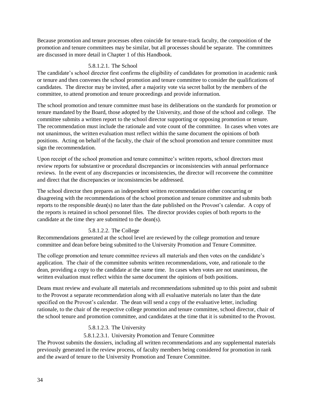Because promotion and tenure processes often coincide for tenure-track faculty, the composition of the promotion and tenure committees may be similar, but all processes should be separate. The committees are discussed in more detail in Chapter 1 of this Handbook.

#### 5.8.1.2.1. The School

The candidate's school director first confirms the eligibility of candidates for promotion in academic rank or tenure and then convenes the school promotion and tenure committee to consider the qualifications of candidates. The director may be invited, after a majority vote via secret ballot by the members of the committee, to attend promotion and tenure proceedings and provide information.

The school promotion and tenure committee must base its deliberations on the standards for promotion or tenure mandated by the Board, those adopted by the University, and those of the school and college. The committee submits a written report to the school director supporting or opposing promotion or tenure. The recommendation must include the rationale and vote count of the committee. In cases when votes are not unanimous, the written evaluation must reflect within the same document the opinions of both positions. Acting on behalf of the faculty, the chair of the school promotion and tenure committee must sign the recommendation.

Upon receipt of the school promotion and tenure committee's written reports, school directors must review reports for substantive or procedural discrepancies or inconsistencies with annual performance reviews. In the event of any discrepancies or inconsistencies, the director will reconvene the committee and direct that the discrepancies or inconsistencies be addressed.

The school director then prepares an independent written recommendation either concurring or disagreeing with the recommendations of the school promotion and tenure committee and submits both reports to the responsible dean(s) no later than the date published on the Provost's calendar. A copy of the reports is retained in school personnel files. The director provides copies of both reports to the candidate at the time they are submitted to the dean(s).

#### 5.8.1.2.2. The College

Recommendations generated at the school level are reviewed by the college promotion and tenure committee and dean before being submitted to the University Promotion and Tenure Committee.

The college promotion and tenure committee reviews all materials and then votes on the candidate's application. The chair of the committee submits written recommendations, vote, and rationale to the dean, providing a copy to the candidate at the same time. In cases when votes are not unanimous, the written evaluation must reflect within the same document the opinions of both positions.

Deans must review and evaluate all materials and recommendations submitted up to this point and submit to the Provost a separate recommendation along with all evaluative materials no later than the date specified on the Provost's calendar. The dean will send a copy of the evaluative letter, including rationale, to the chair of the respective college promotion and tenure committee, school director, chair of the school tenure and promotion committee, and candidates at the time that it is submitted to the Provost.

#### 5.8.1.2.3. The University

5.8.1.2.3.1. University Promotion and Tenure Committee

The Provost submits the dossiers, including all written recommendations and any supplemental materials previously generated in the review process, of faculty members being considered for promotion in rank and the award of tenure to the University Promotion and Tenure Committee.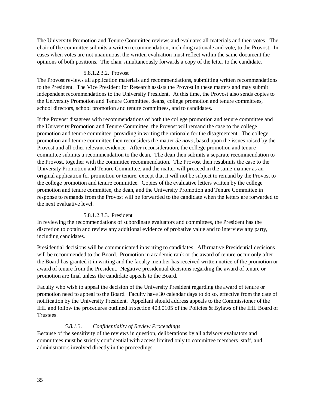The University Promotion and Tenure Committee reviews and evaluates all materials and then votes. The chair of the committee submits a written recommendation, including rationale and vote, to the Provost. In cases when votes are not unanimous, the written evaluation must reflect within the same document the opinions of both positions. The chair simultaneously forwards a copy of the letter to the candidate.

#### 5.8.1.2.3.2. Provost

The Provost reviews all application materials and recommendations, submitting written recommendations to the President. The Vice President for Research assists the Provost in these matters and may submit independent recommendations to the University President. At this time, the Provost also sends copies to the University Promotion and Tenure Committee, deans, college promotion and tenure committees, school directors, school promotion and tenure committees, and to candidates.

If the Provost disagrees with recommendations of both the college promotion and tenure committee and the University Promotion and Tenure Committee, the Provost will remand the case to the college promotion and tenure committee, providing in writing the rationale for the disagreement. The college promotion and tenure committee then reconsiders the matter *de novo,* based upon the issues raised by the Provost and all other relevant evidence. After reconsideration, the college promotion and tenure committee submits a recommendation to the dean. The dean then submits a separate recommendation to the Provost, together with the committee recommendation. The Provost then resubmits the case to the University Promotion and Tenure Committee, and the matter will proceed in the same manner as an original application for promotion or tenure, except that it will not be subject to remand by the Provost to the college promotion and tenure committee. Copies of the evaluative letters written by the college promotion and tenure committee, the dean, and the University Promotion and Tenure Committee in response to remands from the Provost will be forwarded to the candidate when the letters are forwarded to the next evaluative level.

#### 5.8.1.2.3.3. President

In reviewing the recommendations of subordinate evaluators and committees, the President has the discretion to obtain and review any additional evidence of probative value and to interview any party, including candidates.

Presidential decisions will be communicated in writing to candidates. Affirmative Presidential decisions will be recommended to the Board. Promotion in academic rank or the award of tenure occur only after the Board has granted it in writing and the faculty member has received written notice of the promotion or award of tenure from the President. Negative presidential decisions regarding the award of tenure or promotion are final unless the candidate appeals to the Board.

Faculty who wish to appeal the decision of the University President regarding the award of tenure or promotion need to appeal to the Board. Faculty have 30 calendar days to do so, effective from the date of notification by the University President. Appellant should address appeals to the Commissioner of the IHL and follow the procedures outlined in section 403.0105 of the Policies & Bylaws of the IHL Board of Trustees.

#### *5.8.1.3. Confidentiality of Review Proceedings*

Because of the sensitivity of the reviews in question, deliberations by all advisory evaluators and committees must be strictly confidential with access limited only to committee members, staff, and administrators involved directly in the proceedings.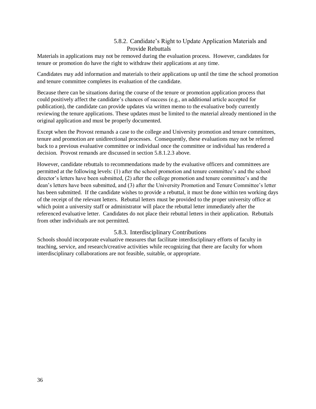#### 5.8.2. Candidate's Right to Update Application Materials and Provide Rebuttals

<span id="page-41-0"></span>Materials in applications may not be removed during the evaluation process. However, candidates for tenure or promotion do have the right to withdraw their applications at any time.

Candidates may add information and materials to their applications up until the time the school promotion and tenure committee completes its evaluation of the candidate.

Because there can be situations during the course of the tenure or promotion application process that could positively affect the candidate's chances of success (e.g., an additional article accepted for publication), the candidate can provide updates via written memo to the evaluative body currently reviewing the tenure applications. These updates must be limited to the material already mentioned in the original application and must be properly documented.

Except when the Provost remands a case to the college and University promotion and tenure committees, tenure and promotion are unidirectional processes. Consequently, these evaluations may not be referred back to a previous evaluative committee or individual once the committee or individual has rendered a decision. Provost remands are discussed in section 5.8.1.2.3 above.

However, candidate rebuttals to recommendations made by the evaluative officers and committees are permitted at the following levels: (1) after the school promotion and tenure committee's and the school director's letters have been submitted, (2) after the college promotion and tenure committee's and the dean's letters have been submitted, and (3) after the University Promotion and Tenure Committee's letter has been submitted. If the candidate wishes to provide a rebuttal, it must be done within ten working days of the receipt of the relevant letters. Rebuttal letters must be provided to the proper university office at which point a university staff or administrator will place the rebuttal letter immediately after the referenced evaluative letter. Candidates do not place their rebuttal letters in their application. Rebuttals from other individuals are not permitted.

#### 5.8.3. Interdisciplinary Contributions

<span id="page-41-1"></span>Schools should incorporate evaluative measures that facilitate interdisciplinary efforts of faculty in teaching, service, and research/creative activities while recognizing that there are faculty for whom interdisciplinary collaborations are not feasible, suitable, or appropriate.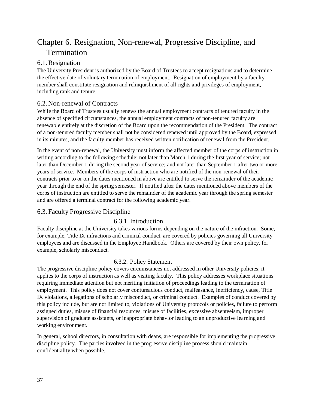## <span id="page-42-0"></span>Chapter 6. Resignation, Non-renewal, Progressive Discipline, and Termination

#### <span id="page-42-1"></span>6.1.Resignation

The University President is authorized by the Board of Trustees to accept resignations and to determine the effective date of voluntary termination of employment. Resignation of employment by a faculty member shall constitute resignation and relinquishment of all rights and privileges of employment, including rank and tenure.

#### <span id="page-42-2"></span>6.2. Non-renewal of Contracts

While the Board of Trustees usually renews the annual employment contracts of tenured faculty in the absence of specified circumstances, the annual employment contracts of non-tenured faculty are renewable entirely at the discretion of the Board upon the recommendation of the President. The contract of a non-tenured faculty member shall not be considered renewed until approved by the Board, expressed in its minutes, and the faculty member has received written notification of renewal from the President.

In the event of non-renewal, the University must inform the affected member of the corps of instruction in writing according to the following schedule: not later than March 1 during the first year of service; not later than December 1 during the second year of service; and not later than September 1 after two or more years of service. Members of the corps of instruction who are notified of the non-renewal of their contracts prior to or on the dates mentioned in above are entitled to serve the remainder of the academic year through the end of the spring semester. If notified after the dates mentioned above members of the corps of instruction are entitled to serve the remainder of the academic year through the spring semester and are offered a terminal contract for the following academic year.

#### <span id="page-42-4"></span><span id="page-42-3"></span>6.3. Faculty Progressive Discipline

#### 6.3.1. Introduction

Faculty discipline at the University takes various forms depending on the nature of the infraction. Some, for example, Title IX infractions and criminal conduct, are covered by policies governing all University employees and are discussed in the Employee Handbook. Others are covered by their own policy, for example, scholarly misconduct.

#### 6.3.2. Policy Statement

<span id="page-42-5"></span>The progressive discipline policy covers circumstances not addressed in other University policies; it applies to the corps of instruction as well as visiting faculty. This policy addresses workplace situations requiring immediate attention but not meriting initiation of proceedings leading to the termination of employment. This policy does not cover contumacious conduct, malfeasance, inefficiency, cause, Title IX violations, allegations of scholarly misconduct, or criminal conduct. Examples of conduct covered by this policy include, but are not limited to, violations of University protocols or policies, failure to perform assigned duties, misuse of financial resources, misuse of facilities, excessive absenteeism, improper supervision of graduate assistants, or inappropriate behavior leading to an unproductive learning and working environment.

In general, school directors, in consultation with deans, are responsible for implementing the progressive discipline policy. The parties involved in the progressive discipline process should maintain confidentiality when possible.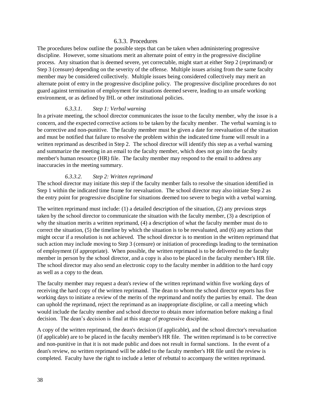#### 6.3.3. Procedures

<span id="page-43-0"></span>The procedures below outline the possible steps that can be taken when administering progressive discipline. However, some situations merit an alternate point of entry in the progressive discipline process. Any situation that is deemed severe, yet correctable, might start at either Step 2 (reprimand) or Step 3 (censure) depending on the severity of the offense. Multiple issues arising from the same faculty member may be considered collectively. Multiple issues being considered collectively may merit an alternate point of entry in the progressive discipline policy. The progressive discipline procedures do not guard against termination of employment for situations deemed severe, leading to an unsafe working environment, or as defined by IHL or other institutional policies.

#### *6.3.3.1. Step 1: Verbal warning*

In a private meeting, the school director communicates the issue to the faculty member, why the issue is a concern, and the expected corrective actions to be taken by the faculty member. The verbal warning is to be corrective and non-punitive. The faculty member must be given a date for reevaluation of the situation and must be notified that failure to resolve the problem within the indicated time frame will result in a written reprimand as described in Step 2. The school director will identify this step as a verbal warning and summarize the meeting in an email to the faculty member, which does not go into the faculty member's human resource (HR) file. The faculty member may respond to the email to address any inaccuracies in the meeting summary.

#### *6.3.3.2. Step 2: Written reprimand*

The school director may initiate this step if the faculty member fails to resolve the situation identified in Step 1 within the indicated time frame for reevaluation. The school director may also initiate Step 2 as the entry point for progressive discipline for situations deemed too severe to begin with a verbal warning.

The written reprimand must include: (1) a detailed description of the situation, (2) any previous steps taken by the school director to communicate the situation with the faculty member, (3) a description of why the situation merits a written reprimand, (4) a description of what the faculty member must do to correct the situation, (5) the timeline by which the situation is to be reevaluated, and (6) any actions that might occur if a resolution is not achieved. The school director is to mention in the written reprimand that such action may include moving to Step 3 (censure) or initiation of proceedings leading to the termination of employment (if appropriate). When possible, the written reprimand is to be delivered to the faculty member in person by the school director, and a copy is also to be placed in the faculty member's HR file. The school director may also send an electronic copy to the faculty member in addition to the hard copy as well as a copy to the dean.

The faculty member may request a dean's review of the written reprimand within five working days of receiving the hard copy of the written reprimand. The dean to whom the school director reports has five working days to initiate a review of the merits of the reprimand and notify the parties by email. The dean can uphold the reprimand, reject the reprimand as an inappropriate discipline, or call a meeting which would include the faculty member and school director to obtain more information before making a final decision. The dean's decision is final at this stage of progressive discipline.

A copy of the written reprimand, the dean's decision (if applicable), and the school director's reevaluation (if applicable) are to be placed in the faculty member's HR file. The written reprimand is to be corrective and non-punitive in that it is not made public and does not result in formal sanctions. In the event of a dean's review, no written reprimand will be added to the faculty member's HR file until the review is completed. Faculty have the right to include a letter of rebuttal to accompany the written reprimand.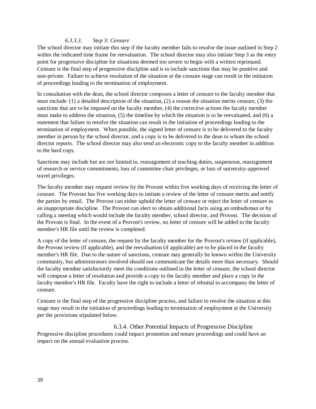#### *6.3.3.3. Step 3: Censure*

The school director may initiate this step if the faculty member fails to resolve the issue outlined in Step 2 within the indicated time frame for reevaluation. The school director may also initiate Step 3 as the entry point for progressive discipline for situations deemed too severe to begin with a written reprimand. Censure is the final step of progressive discipline and is to include sanctions that may be punitive and non-private. Failure to achieve resolution of the situation at the censure stage can result in the initiation of proceedings leading to the termination of employment.

In consultation with the dean, the school director composes a letter of censure to the faculty member that must include: (1) a detailed description of the situation, (2) a reason the situation merits censure, (3) the sanctions that are to be imposed on the faculty member, (4) the corrective actions the faculty member must make to address the situation, (5) the timeline by which the situation is to be reevaluated, and (6) a statement that failure to resolve the situation can result in the initiation of proceedings leading to the termination of employment. When possible, the signed letter of censure is to be delivered to the faculty member in person by the school director, and a copy is to be delivered to the dean to whom the school director reports. The school director may also send an electronic copy to the faculty member in addition to the hard copy.

Sanctions may include but are not limited to, reassignment of teaching duties, suspension, reassignment of research or service commitments, loss of committee chair privileges, or loss of university-approved travel privileges.

The faculty member may request review by the Provost within five working days of receiving the letter of censure. The Provost has five working days to initiate a review of the letter of censure merits and notify the parties by email. The Provost can either uphold the letter of censure or reject the letter of censure as an inappropriate discipline. The Provost can elect to obtain additional facts using an ombudsman or by calling a meeting which would include the faculty member, school director, and Provost. The decision of the Provost is final. In the event of a Provost's review, no letter of censure will be added to the faculty member's HR file until the review is completed.

A copy of the letter of censure, the request by the faculty member for the Provost's review (if applicable), the Provost review (if applicable), and the reevaluation (if applicable) are to be placed in the faculty member's HR file. Due to the nature of sanctions, censure may generally be known within the University community, but administrators involved should not communicate the details more than necessary. Should the faculty member satisfactorily meet the conditions outlined in the letter of censure, the school director will compose a letter of resolution and provide a copy to the faculty member and place a copy in the faculty member's HR file. Faculty have the right to include a letter of rebuttal to accompany the letter of censure.

Censure is the final step of the progressive discipline process, and failure to resolve the situation at this stage may result in the initiation of proceedings leading to termination of employment at the University per the provisions stipulated below.

<span id="page-44-0"></span>6.3.4. Other Potential Impacts of Progressive Discipline Progressive discipline procedures could impact promotion and tenure proceedings and could have an impact on the annual evaluation process.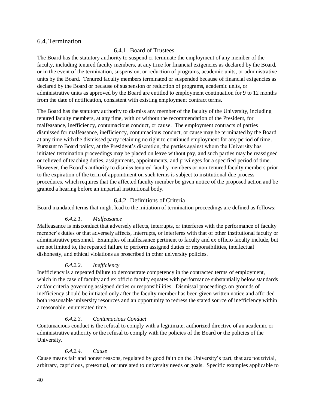#### <span id="page-45-1"></span><span id="page-45-0"></span>6.4. Termination

#### 6.4.1. Board of Trustees

The Board has the statutory authority to suspend or terminate the employment of any member of the faculty, including tenured faculty members, at any time for financial exigencies as declared by the Board, or in the event of the termination, suspension, or reduction of programs, academic units, or administrative units by the Board. Tenured faculty members terminated or suspended because of financial exigencies as declared by the Board or because of suspension or reduction of programs, academic units, or administrative units as approved by the Board are entitled to employment continuation for 9 to 12 months from the date of notification, consistent with existing employment contract terms.

The Board has the statutory authority to dismiss any member of the faculty of the University, including tenured faculty members, at any time, with or without the recommendation of the President, for malfeasance, inefficiency, contumacious conduct, or cause. The employment contracts of parties dismissed for malfeasance, inefficiency, contumacious conduct, or cause may be terminated by the Board at any time with the dismissed party retaining no right to continued employment for any period of time. Pursuant to Board policy, at the President's discretion, the parties against whom the University has initiated termination proceedings may be placed on leave without pay, and such parties may be reassigned or relieved of teaching duties, assignments, appointments, and privileges for a specified period of time. However, the Board's authority to dismiss tenured faculty members or non-tenured faculty members prior to the expiration of the term of appointment on such terms is subject to institutional due process procedures, which requires that the affected faculty member be given notice of the proposed action and be granted a hearing before an impartial institutional body.

#### 6.4.2. Definitions of Criteria

<span id="page-45-2"></span>Board mandated terms that might lead to the initiation of termination proceedings are defined as follows:

#### *6.4.2.1. Malfeasance*

Malfeasance is misconduct that adversely affects, interrupts, or interferes with the performance of faculty member's duties or that adversely affects, interrupts, or interferes with that of other institutional faculty or administrative personnel. Examples of malfeasance pertinent to faculty and ex officio faculty include, but are not limited to, the repeated failure to perform assigned duties or responsibilities, intellectual dishonesty, and ethical violations as proscribed in other university policies.

#### *6.4.2.2. Inefficiency*

Inefficiency is a repeated failure to demonstrate competency in the contracted terms of employment, which in the case of faculty and ex officio faculty equates with performance substantially below standards and/or criteria governing assigned duties or responsibilities. Dismissal proceedings on grounds of inefficiency should be initiated only after the faculty member has been given written notice and afforded both reasonable university resources and an opportunity to redress the stated source of inefficiency within a reasonable, enumerated time.

#### *6.4.2.3. Contumacious Conduct*

Contumacious conduct is the refusal to comply with a legitimate, authorized directive of an academic or administrative authority or the refusal to comply with the policies of the Board or the policies of the University.

#### *6.4.2.4. Cause*

Cause means fair and honest reasons, regulated by good faith on the University's part, that are not trivial, arbitrary, capricious, pretextual, or unrelated to university needs or goals. Specific examples applicable to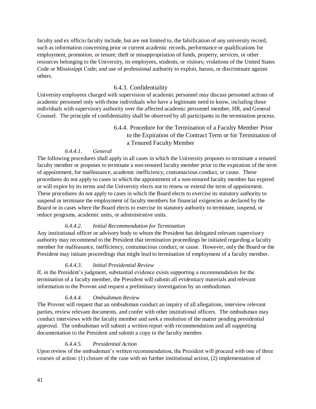faculty and ex officio faculty include, but are not limited to, the falsification of any university record, such as information concerning prior or current academic records, performance or qualifications for employment, promotion, or tenure; theft or misappropriation of funds, property, services, or other resources belonging to the University, its employees, students, or visitors; violations of the United States Code or Mississippi Code; and use of professional authority to exploit, harass, or discriminate against others.

#### 6.4.3. Confidentiality

<span id="page-46-0"></span>University employees charged with supervision of academic personnel may discuss personnel actions of academic personnel only with those individuals who have a legitimate need to know, including those individuals with supervisory authority over the affected academic personnel member, HR, and General Counsel. The principle of confidentiality shall be observed by all participants in the termination process.

#### 6.4.4. Procedure for the Termination of a Faculty Member Prior to the Expiration of the Contract Term or for Termination of a Tenured Faculty Member

#### *6.4.4.1. General*

<span id="page-46-1"></span>The following procedures shall apply in all cases in which the University proposes to terminate a tenured faculty member or proposes to terminate a non-tenured faculty member prior to the expiration of the term of appointment, for malfeasance, academic inefficiency, contumacious conduct, or cause. These procedures do not apply to cases in which the appointment of a non-tenured faculty member has expired or will expire by its terms and the University elects not to renew or extend the term of appointment. These procedures do not apply to cases in which the Board elects to exercise its statutory authority to suspend or terminate the employment of faculty members for financial exigencies as declared by the Board or in cases where the Board elects to exercise its statutory authority to terminate, suspend, or reduce programs, academic units, or administrative units.

#### *6.4.4.2. Initial Recommendation for Termination*

Any institutional officer or advisory body to whom the President has delegated relevant supervisory authority may recommend to the President that termination proceedings be initiated regarding a faculty member for malfeasance, inefficiency, contumacious conduct, or cause. However, only the Board or the President may initiate proceedings that might lead to termination of employment of a faculty member.

#### *6.4.4.3. Initial Presidential Review*

If, in the President's judgment, substantial evidence exists supporting a recommendation for the termination of a faculty member, the President will submit all evidentiary materials and relevant information to the Provost and request a preliminary investigation by an ombudsman.

#### *6.4.4.4. Ombudsman Review*

The Provost will request that an ombudsman conduct an inquiry of all allegations, interview relevant parties, review relevant documents, and confer with other institutional officers. The ombudsman may conduct interviews with the faculty member and seek a resolution of the matter pending presidential approval. The ombudsman will submit a written report with recommendation and all supporting documentation to the President and submit a copy to the faculty member.

#### *6.4.4.5. Presidential Action*

Upon review of the ombudsman's written recommendation, the President will proceed with one of three courses of action: (1) closure of the case with no further institutional action, (2) implementation of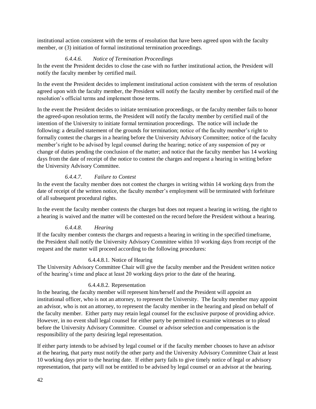institutional action consistent with the terms of resolution that have been agreed upon with the faculty member, or (3) initiation of formal institutional termination proceedings.

#### *6.4.4.6. Notice of Termination Proceedings*

In the event the President decides to close the case with no further institutional action, the President will notify the faculty member by certified mail.

In the event the President decides to implement institutional action consistent with the terms of resolution agreed upon with the faculty member, the President will notify the faculty member by certified mail of the resolution's official terms and implement those terms.

In the event the President decides to initiate termination proceedings, or the faculty member fails to honor the agreed-upon resolution terms, the President will notify the faculty member by certified mail of the intention of the University to initiate formal termination proceedings. The notice will include the following: a detailed statement of the grounds for termination; notice of the faculty member's right to formally contest the charges in a hearing before the University Advisory Committee; notice of the faculty member's right to be advised by legal counsel during the hearing; notice of any suspension of pay or change of duties pending the conclusion of the matter; and notice that the faculty member has 14 working days from the date of receipt of the notice to contest the charges and request a hearing in writing before the University Advisory Committee.

#### *6.4.4.7. Failure to Contest*

In the event the faculty member does not contest the charges in writing within 14 working days from the date of receipt of the written notice, the faculty member's employment will be terminated with forfeiture of all subsequent procedural rights.

In the event the faculty member contests the charges but does not request a hearing in writing, the right to a hearing is waived and the matter will be contested on the record before the President without a hearing.

#### *6.4.4.8. Hearing*

If the faculty member contests the charges and requests a hearing in writing in the specified timeframe, the President shall notify the University Advisory Committee within 10 working days from receipt of the request and the matter will proceed according to the following procedures:

#### 6.4.4.8.1. Notice of Hearing

The University Advisory Committee Chair will give the faculty member and the President written notice of the hearing's time and place at least 20 working days prior to the date of the hearing.

#### 6.4.4.8.2. Representation

In the hearing, the faculty member will represent him/herself and the President will appoint an institutional officer, who is not an attorney, to represent the University. The faculty member may appoint an advisor, who is not an attorney, to represent the faculty member in the hearing and plead on behalf of the faculty member. Either party may retain legal counsel for the exclusive purpose of providing advice. However, in no event shall legal counsel for either party be permitted to examine witnesses or to plead before the University Advisory Committee. Counsel or advisor selection and compensation is the responsibility of the party desiring legal representation.

If either party intends to be advised by legal counsel or if the faculty member chooses to have an advisor at the hearing, that party must notify the other party and the University Advisory Committee Chair at least 10 working days prior to the hearing date. If either party fails to give timely notice of legal or advisory representation, that party will not be entitled to be advised by legal counsel or an advisor at the hearing.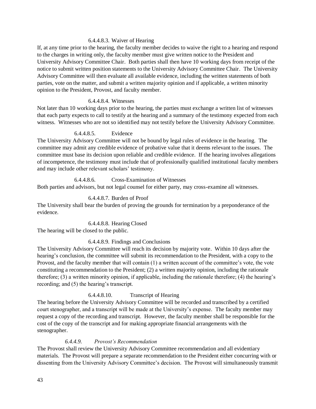#### 6.4.4.8.3. Waiver of Hearing

If, at any time prior to the hearing, the faculty member decides to waive the right to a hearing and respond to the charges in writing only, the faculty member must give written notice to the President and University Advisory Committee Chair. Both parties shall then have 10 working days from receipt of the notice to submit written position statements to the University Advisory Committee Chair. The University Advisory Committee will then evaluate all available evidence, including the written statements of both parties, vote on the matter, and submit a written majority opinion and if applicable, a written minority opinion to the President, Provost, and faculty member.

#### 6.4.4.8.4. Witnesses

Not later than 10 working days prior to the hearing, the parties must exchange a written list of witnesses that each party expects to call to testify at the hearing and a summary of the testimony expected from each witness. Witnesses who are not so identified may not testify before the University Advisory Committee.

#### 6.4.4.8.5. Evidence

The University Advisory Committee will not be bound by legal rules of evidence in the hearing. The committee may admit any credible evidence of probative value that it deems relevant to the issues. The committee must base its decision upon reliable and credible evidence. If the hearing involves allegations of incompetence, the testimony must include that of professionally qualified institutional faculty members and may include other relevant scholars' testimony.

#### 6.4.4.8.6. Cross-Examination of Witnesses

Both parties and advisors, but not legal counsel for either party, may cross-examine all witnesses.

#### 6.4.4.8.7. Burden of Proof

The University shall bear the burden of proving the grounds for termination by a preponderance of the evidence.

#### 6.4.4.8.8. Hearing Closed

The hearing will be closed to the public.

#### 6.4.4.8.9. Findings and Conclusions

The University Advisory Committee will reach its decision by majority vote. Within 10 days after the hearing's conclusion, the committee will submit its recommendation to the President, with a copy to the Provost, and the faculty member that will contain (1) a written account of the committee's vote, the vote constituting a recommendation to the President; (2) a written majority opinion, including the rationale therefore; (3) a written minority opinion, if applicable, including the rationale therefore; (4) the hearing's recording; and (5) the hearing's transcript.

#### 6.4.4.8.10. Transcript of Hearing

The hearing before the University Advisory Committee will be recorded and transcribed by a certified court stenographer, and a transcript will be made at the University's expense. The faculty member may request a copy of the recording and transcript. However, the faculty member shall be responsible for the cost of the copy of the transcript and for making appropriate financial arrangements with the stenographer.

#### *6.4.4.9. Provost's Recommendation*

The Provost shall review the University Advisory Committee recommendation and all evidentiary materials. The Provost will prepare a separate recommendation to the President either concurring with or dissenting from the University Advisory Committee's decision. The Provost will simultaneously transmit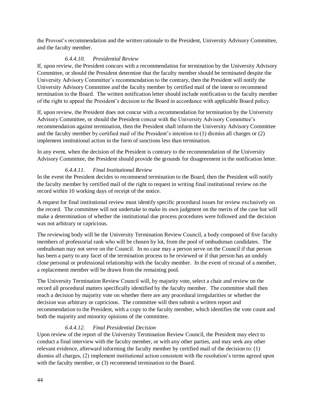the Provost's recommendation and the written rationale to the President, University Advisory Committee, and the faculty member.

#### *6.4.4.10. Presidential Review*

If, upon review, the President concurs with a recommendation for termination by the University Advisory Committee, or should the President determine that the faculty member should be terminated despite the University Advisory Committee's recommendation to the contrary, then the President will notify the University Advisory Committee and the faculty member by certified mail of the intent to recommend termination to the Board. The written notification letter should include notification to the faculty member of the right to appeal the President's decision to the Board in accordance with applicable Board policy.

If, upon review, the President does not concur with a recommendation for termination by the University Advisory Committee, or should the President concur with the University Advisory Committee's recommendation against termination, then the President shall inform the University Advisory Committee and the faculty member by certified mail of the President's intention to (1) dismiss all charges or (2) implement institutional action in the form of sanctions less than termination.

In any event, when the decision of the President is contrary to the recommendation of the University Advisory Committee, the President should provide the grounds for disagreement in the notification letter.

#### *6.4.4.11. Final Institutional Review*

In the event the President decides to recommend termination to the Board, then the President will notify the faculty member by certified mail of the right to request in writing final institutional review on the record within 10 working days of receipt of the notice.

A request for final institutional review must identify specific procedural issues for review exclusively on the record. The committee will not undertake to make its own judgment on the merits of the case but will make a determination of whether the institutional due process procedures were followed and the decision was not arbitrary or capricious.

The reviewing body will be the University Termination Review Council, a body composed of five faculty members of professorial rank who will be chosen by lot, from the pool of ombudsman candidates. The ombudsman may not serve on the Council. In no case may a person serve on the Council if that person has been a party to any facet of the termination process to be reviewed or if that person has an unduly close personal or professional relationship with the faculty member. In the event of recusal of a member, a replacement member will be drawn from the remaining pool.

The University Termination Review Council will, by majority vote, select a chair and review on the record all procedural matters specifically identified by the faculty member. The committee shall then reach a decision by majority vote on whether there are any procedural irregularities or whether the decision was arbitrary or capricious. The committee will then submit a written report and recommendation to the President, with a copy to the faculty member, which identifies the vote count and both the majority and minority opinions of the committee.

#### *6.4.4.12. Final Presidential Decision*

Upon review of the report of the University Termination Review Council, the President may elect to conduct a final interview with the faculty member, or with any other parties, and may seek any other relevant evidence, afterward informing the faculty member by certified mail of the decision to: (1) dismiss all charges, (2) implement institutional action consistent with the resolution's terms agreed upon with the faculty member, or  $(3)$  recommend termination to the Board.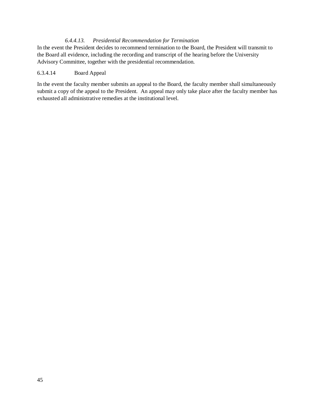#### *6.4.4.13. Presidential Recommendation for Termination*

In the event the President decides to recommend termination to the Board, the President will transmit to the Board all evidence, including the recording and transcript of the hearing before the University Advisory Committee, together with the presidential recommendation.

#### 6.3.4.14 Board Appeal

In the event the faculty member submits an appeal to the Board, the faculty member shall simultaneously submit a copy of the appeal to the President. An appeal may only take place after the faculty member has exhausted all administrative remedies at the institutional level.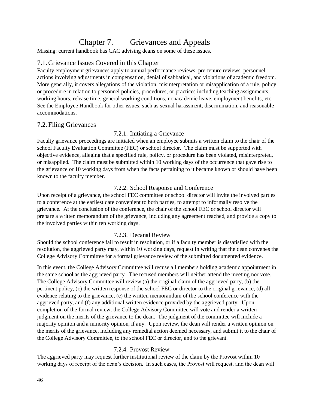## Chapter 7. Grievances and Appeals

<span id="page-51-0"></span>Missing: current handbook has CAC advising deans on some of these issues.

#### <span id="page-51-1"></span>7.1. Grievance Issues Covered in this Chapter

Faculty employment grievances apply to annual performance reviews, pre-tenure reviews, personnel actions involving adjustments in compensation, denial of sabbatical, and violations of academic freedom. More generally, it covers allegations of the violation, misinterpretation or misapplication of a rule, policy or procedure in relation to personnel policies, procedures, or practices including teaching assignments, working hours, release time, general working conditions, nonacademic leave, employment benefits, etc. See the Employee Handbook for other issues, such as sexual harassment, discrimination, and reasonable accommodations.

#### <span id="page-51-3"></span><span id="page-51-2"></span>7.2. Filing Grievances

#### 7.2.1. Initiating a Grievance

Faculty grievance proceedings are initiated when an employee submits a written claim to the chair of the school Faculty Evaluation Committee (FEC) or school director. The claim must be supported with objective evidence, alleging that a specified rule, policy, or procedure has been violated, misinterpreted, or misapplied. The claim must be submitted within 10 working days of the occurrence that gave rise to the grievance or 10 working days from when the facts pertaining to it became known or should have been known to the faculty member.

#### 7.2.2. School Response and Conference

<span id="page-51-4"></span>Upon receipt of a grievance, the school FEC committee or school director will invite the involved parties to a conference at the earliest date convenient to both parties, to attempt to informally resolve the grievance. At the conclusion of the conference, the chair of the school FEC or school director will prepare a written memorandum of the grievance, including any agreement reached, and provide a copy to the involved parties within ten working days.

#### 7.2.3. Decanal Review

<span id="page-51-5"></span>Should the school conference fail to result in resolution, or if a faculty member is dissatisfied with the resolution, the aggrieved party may, within 10 working days, request in writing that the dean convenes the College Advisory Committee for a formal grievance review of the submitted documented evidence.

In this event, the College Advisory Committee will recuse all members holding academic appointment in the same school as the aggrieved party. The recused members will neither attend the meeting nor vote. The College Advisory Committee will review (a) the original claim of the aggrieved party, (b) the pertinent policy, (c) the written response of the school FEC or director to the original grievance, (d) all evidence relating to the grievance, (e) the written memorandum of the school conference with the aggrieved party, and (f) any additional written evidence provided by the aggrieved party. Upon completion of the formal review, the College Advisory Committee will vote and render a written judgment on the merits of the grievance to the dean. The judgment of the committee will include a majority opinion and a minority opinion, if any. Upon review, the dean will render a written opinion on the merits of the grievance, including any remedial action deemed necessary, and submit it to the chair of the College Advisory Committee, to the school FEC or director, and to the grievant.

#### 7.2.4. Provost Review

<span id="page-51-6"></span>The aggrieved party may request further institutional review of the claim by the Provost within 10 working days of receipt of the dean's decision. In such cases, the Provost will request, and the dean will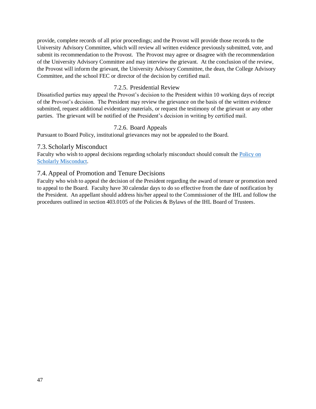provide, complete records of all prior proceedings; and the Provost will provide those records to the University Advisory Committee, which will review all written evidence previously submitted, vote, and submit its recommendation to the Provost. The Provost may agree or disagree with the recommendation of the University Advisory Committee and may interview the grievant. At the conclusion of the review, the Provost will inform the grievant, the University Advisory Committee, the dean, the College Advisory Committee, and the school FEC or director of the decision by certified mail.

#### 7.2.5. Presidential Review

<span id="page-52-0"></span>Dissatisfied parties may appeal the Provost's decision to the President within 10 working days of receipt of the Provost's decision. The President may review the grievance on the basis of the written evidence submitted, request additional evidentiary materials, or request the testimony of the grievant or any other parties. The grievant will be notified of the President's decision in writing by certified mail.

#### 7.2.6. Board Appeals

<span id="page-52-1"></span>Pursuant to Board Policy, institutional grievances may not be appealed to the Board.

#### <span id="page-52-2"></span>7.3. Scholarly Misconduct

Faculty who wish to appeal decisions regarding scholarly misconduct should consult the [Policy on](https://www.usm.edu/institutional-policies/policy-rsch-vp-002)  [Scholarly Misconduct.](https://www.usm.edu/institutional-policies/policy-rsch-vp-002)

#### <span id="page-52-3"></span>7.4. Appeal of Promotion and Tenure Decisions

Faculty who wish to appeal the decision of the President regarding the award of tenure or promotion need to appeal to the Board. Faculty have 30 calendar days to do so effective from the date of notification by the President. An appellant should address his/her appeal to the Commissioner of the IHL and follow the procedures outlined in section 403.0105 of the Policies & Bylaws of the IHL Board of Trustees.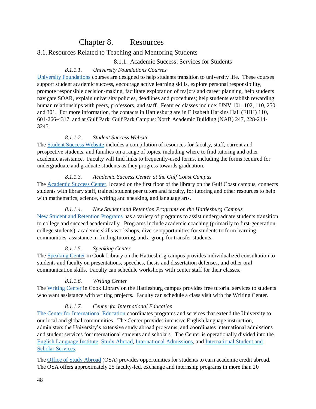### Chapter 8. Resources

#### <span id="page-53-2"></span><span id="page-53-1"></span><span id="page-53-0"></span>8.1.Resources Related to Teaching and Mentoring Students

#### 8.1.1. Academic Success: Services for Students

#### *8.1.1.1. University Foundations Courses*

[University Foundations](http://www.usm.edu/interdisciplinary-studies/university-foundations) courses are designed to help students transition to university life. These courses support student academic success, encourage active learning skills, explore personal responsibility, promote responsible decision-making, facilitate exploration of majors and career planning, help students navigate SOAR, explain university policies, deadlines and procedures; help students establish rewarding human relationships with peers, professors, and staff. Featured classes include: UNV 101, 102, 110, 250, and 301. For more information, the contacts in Hattiesburg are in Elizabeth Harkins Hall (EHH) 110, 601-266-4317, and at Gulf Park, Gulf Park Campus: North Academic Building (NAB) 247, 228-214- 3245.

#### *8.1.1.2. Student Success Website*

The [Student Success Website](https://www.usm.edu/success) includes a compilation of resources for faculty, staff, current and prospective students, and families on a range of topics, including where to find tutoring and other academic assistance. Faculty will find links to frequently-used forms, including the forms required for undergraduate and graduate students as they progress towards graduation.

#### *8.1.1.3. Academic Success Center at the Gulf Coast Campus*

The [Academic Success Center,](https://www.usm.edu/gulfcoast/academic-success-center) located on the first floor of the library on the Gulf Coast campus, connects students with library staff, trained student peer tutors and faculty, for tutoring and other resources to help with mathematics, science, writing and speaking, and language arts.

#### *8.1.1.4. New Student and Retention Programs on the Hattiesburg Campus*

[New Student and Retention Programs](https://www.usm.edu/new-student-retention-programs/about-us) has a variety of programs to assist undergraduate students transition to college and succeed academically. Programs include academic coaching (primarily to first-generation college students), academic skills workshops, diverse opportunities for students to form learning communities, assistance in finding tutoring, and a group for transfer students.

#### *8.1.1.5. Speaking Center*

The [Speaking Center](https://www.usm.edu/speaking-center) in Cook Library on the Hattiesburg campus provides individualized consultation to students and faculty on presentations, speeches, thesis and dissertation defenses, and other oral communication skills. Faculty can schedule workshops with center staff for their classes.

#### *8.1.1.6. Writing Center*

The [Writing Center](https://www.usm.edu/writing-center) in Cook Library on the Hattiesburg campus provides free tutorial services to students who want assistance with writing projects. Faculty can schedule a class visit with the Writing Center.

#### *8.1.1.7. Center for International Education*

[The Center for International Education](https://www.usm.edu/international-education) coordinates programs and services that extend the University to our local and global communities. The Center provides intensive English language instruction, administers the University's extensive study abroad programs, and coordinates international admissions and student services for international students and scholars. The Center is operationally divided into the [English Language Institute,](https://www.usm.edu/english-language-institute) [Study Abroad,](https://www.usm.edu/study-abroad) [International Admissions,](https://www.usm.edu/international-services/international-admissions) and [International Student and](https://www.usm.edu/international-services)  [Scholar Services.](https://www.usm.edu/international-services)

The [Office of Study Abroad](https://studyabroad.usm.edu/index.cfm?FuseAction=Abroad.Home) (OSA) provides opportunities for students to earn academic credit abroad. The OSA offers approximately 25 faculty-led, exchange and internship programs in more than 20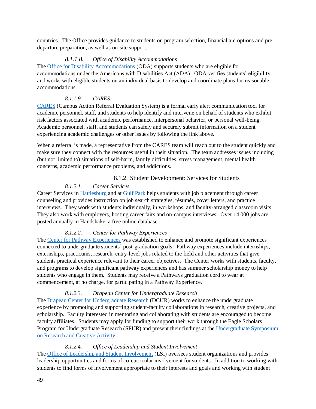countries. The Office provides guidance to students on program selection, financial aid options and predeparture preparation, as well as on-site support.

#### *8.1.1.8. Office of Disability Accommodations*

The [Office for Disability Accommodations](https://www.usm.edu/oda) (ODA) supports students who are eligible for accommodations under the Americans with Disabilities Act (ADA). ODA verifies students' eligibility and works with eligible students on an individual basis to develop and coordinate plans for reasonable accommodations.

#### *8.1.1.9. CARES*

[CARES](https://www.usm.edu/student-affairs/cares) (Campus Action Referral Evaluation System) is a formal early alert communication tool for academic personnel, staff, and students to help identify and intervene on behalf of students who exhibit risk factors associated with academic performance, interpersonal behavior, or personal well-being. Academic personnel, staff, and students can safely and securely submit information on a student experiencing academic challenges or other issues by following the link above.

When a referral is made, a representative from the CARES team will reach out to the student quickly and make sure they connect with the resources useful in their situation. The team addresses issues including (but not limited to) situations of self-harm, family difficulties, stress management, mental health concerns, academic performance problems, and addictions.

#### 8.1.2. Student Development: Services for Students

#### *8.1.2.1. Career Services*

<span id="page-54-0"></span>Career Services in [Hattiesburg](https://www.usm.edu/career-services) and at [Gulf Park](https://www.usm.edu/gulfcoast/students/career-services) helps students with job placement through career counseling and provides instruction on job search strategies, résumés, cover letters, and practice interviews. They work with students individually, in workshops, and faculty-arranged classroom visits. They also work with employers, hosting career fairs and on-campus interviews. Over 14,000 jobs are posted annually in Handshake, a free online database.

#### *8.1.2.2. Center for Pathway Experiences*

The [Center for Pathway Experiences](https://www.usm.edu/pathways) was established to enhance and promote significant experiences connected to undergraduate students' post-graduation goals. Pathway experiences include internships, externships, practicums, research, entry-level jobs related to the field and other activities that give students practical experience relevant to their career objectives. The Center works with students, faculty, and programs to develop significant pathway experiences and has summer scholarship money to help students who engage in them. Students may receive a Pathways graduation cord to wear at commencement, at no charge, for participating in a Pathway Experience.

#### *8.1.2.3. [Drapeau Center for Undergraduate Research](https://www.usm.edu/research/center-overview)*

The [Drapeau Center for Undergraduate Research](https://www.usm.edu/research/center-overview) (DCUR) works to enhance the undergraduate experience by promoting and supporting student-faculty collaborations in research, creative projects, and scholarship. Faculty interested in mentoring and collaborating with students are encouraged to become faculty affiliates. Students may apply for funding to support their work through the Eagle Scholars Program for Undergraduate Research (SPUR) and present their findings at the Undergraduate Symposium [on Research and Creative Activity.](https://www.usm.edu/research/undergraduate-symposium-research-and-creative-activity)

#### *8.1.2.4. Office of Leadership and Student Involvement*

The [Office of Leadership and Student Involvement](https://www.usm.edu/leadership-student-involvement) (LSI) oversees student organizations and provides leadership opportunities and forms of co-curricular involvement for students. In addition to working with students to find forms of involvement appropriate to their interests and goals and working with student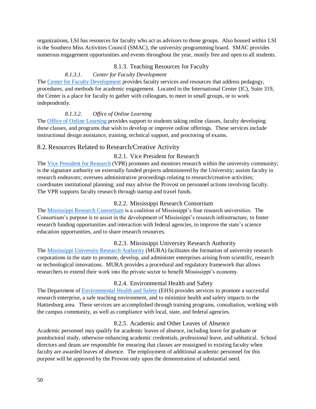organizations, LSI has resources for faculty who act as advisors to those groups. Also housed within LSI is the Southern Miss Activities Council (SMAC), the university programming board. SMAC provides numerous engagement opportunities and events throughout the year, mostly free and open to all students.

#### 8.1.3. Teaching Resources for Faculty

#### *8.1.3.1. Center for Faculty Development*

<span id="page-55-0"></span>The [Center for Faculty Development](https://www.usm.edu/center-faculty-development/about-us) provides faculty services and resources that address pedagogy, procedures, and methods for academic engagement. Located in the International Center (IC), Suite 319, the Center is a place for faculty to gather with colleagues, to meet in small groups, or to work independently.

#### *8.1.3.2. Office of Online Learning*

The [Office of Online Learning](https://online-learning.usm.edu/) provides support to students taking online classes, faculty developing these classes, and programs that wish to develop or improve online offerings. These services include instructional design assistance, training, technical support, and proctoring of exams.

#### <span id="page-55-2"></span><span id="page-55-1"></span>8.2.Resources Related to Research/Creative Activity

#### 8.2.1. Vice President for Research

The [Vice President for Research](https://www.usm.edu/research/message-vice-president-research) (VPR) promotes and monitors research within the university community; is the signature authority on externally funded projects administered by the University; assists faculty in research endeavors; oversees administrative proceedings relating to research/creative activities; coordinates institutional planning; and may advise the Provost on personnel actions involving faculty. The VPR supports faculty research through startup and travel funds.

#### 8.2.2. Mississippi Research Consortium

<span id="page-55-3"></span>The [Mississippi Research Consortium](https://www.usm.edu/research/mississippi-research-consortium) is a coalition of Mississippi's four research universities. The Consortium's purpose is to assist in the development of Mississippi's research infrastructure, to foster research funding opportunities and interaction with federal agencies, to improve the state's science education opportunities, and to share research resources.

#### 8.2.3. Mississippi University Research Authority

<span id="page-55-4"></span>The [Mississippi University Research Authority](https://www.research.olemiss.edu/resources/MURA) (MURA) facilitates the formation of university research corporations in the state to promote, develop, and administer enterprises arising from scientific, research or technological innovations. MURA provides a procedural and regulatory framework that allows researchers to extend their work into the private sector to benefit Mississippi's economy.

#### 8.2.4. Environmental Health and Safety

<span id="page-55-5"></span>The Department of [Environmental Health and Safety](https://www.usm.edu/research/environmental-health-and-safety-ehs) (EHS) provides services to promote a successful research enterprise, a safe teaching environment, and to minimize health and safety impacts to the Hattiesburg area. These services are accomplished through training programs, consultation, working with the campus community, as well as compliance with local, state, and federal agencies.

#### 8.2.5. Academic and Other Leaves of Absence

<span id="page-55-6"></span>Academic personnel may qualify for academic leaves of absence, including leave for graduate or postdoctoral study, otherwise enhancing academic credentials, professional leave, and sabbatical. School directors and deans are responsible for ensuring that classes are reassigned to existing faculty when faculty are awarded leaves of absence. The employment of additional academic personnel for this purpose will be approved by the Provost only upon the demonstration of substantial need.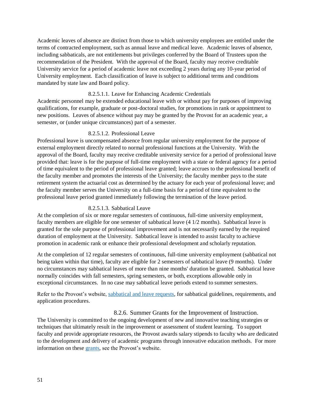Academic leaves of absence are distinct from those to which university employees are entitled under the terms of contracted employment, such as annual leave and medical leave. Academic leaves of absence, including sabbaticals, are not entitlements but privileges conferred by the Board of Trustees upon the recommendation of the President. With the approval of the Board, faculty may receive creditable University service for a period of academic leave not exceeding 2 years during any 10-year period of University employment. Each classification of leave is subject to additional terms and conditions mandated by state law and Board policy.

#### 8.2.5.1.1. Leave for Enhancing Academic Credentials

Academic personnel may be extended educational leave with or without pay for purposes of improving qualifications, for example, graduate or post-doctoral studies, for promotions in rank or appointment to new positions. Leaves of absence without pay may be granted by the Provost for an academic year, a semester, or (under unique circumstances) part of a semester.

#### 8.2.5.1.2. Professional Leave

Professional leave is uncompensated absence from regular university employment for the purpose of external employment directly related to normal professional functions at the University. With the approval of the Board, faculty may receive creditable university service for a period of professional leave provided that: leave is for the purpose of full-time employment with a state or federal agency for a period of time equivalent to the period of professional leave granted; leave accrues to the professional benefit of the faculty member and promotes the interests of the University; the faculty member pays to the state retirement system the actuarial cost as determined by the actuary for each year of professional leave; and the faculty member serves the University on a full-time basis for a period of time equivalent to the professional leave period granted immediately following the termination of the leave period.

#### 8.2.5.1.3. Sabbatical Leave

At the completion of six or more regular semesters of continuous, full-time university employment, faculty members are eligible for one semester of sabbatical leave (4 1/2 months). Sabbatical leave is granted for the sole purpose of professional improvement and is not necessarily earned by the required duration of employment at the University. Sabbatical leave is intended to assist faculty to achieve promotion in academic rank or enhance their professional development and scholarly reputation.

At the completion of 12 regular semesters of continuous, full-time university employment (sabbatical not being taken within that time), faculty are eligible for 2 semesters of sabbatical leave (9 months). Under no circumstances may sabbatical leaves of more than nine months' duration be granted. Sabbatical leave normally coincides with fall semesters, spring semesters, or both, exceptions allowable only in exceptional circumstances. In no case may sabbatical leave periods extend to summer semesters.

Refer to the Provost's website, [sabbatical and leave requests,](https://www.usm.edu/provost/sabbatical-and-leave-requests) for sabbatical guidelines, requirements, and application procedures.

#### 8.2.6. Summer Grants for the Improvement of Instruction.

<span id="page-56-0"></span>The University is committed to the ongoing development of new and innovative teaching strategies or techniques that ultimately result in the improvement or assessment of student learning. To support faculty and provide appropriate resources, the Provost awards salary stipends to faculty who are dedicated to the development and delivery of academic programs through innovative education methods. For more information on these [grants,](https://www.usm.edu/provost/summer-grants-improvement-instruction) see the Provost's website.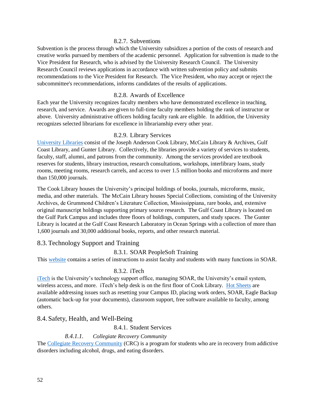#### 8.2.7. Subventions

<span id="page-57-0"></span>Subvention is the process through which the University subsidizes a portion of the costs of research and creative works pursued by members of the academic personnel. Application for subvention is made to the Vice President for Research, who is advised by the University Research Council. The University Research Council reviews applications in accordance with written subvention policy and submits recommendations to the Vice President for Research. The Vice President, who may accept or reject the subcommittee's recommendations, informs candidates of the results of applications.

#### 8.2.8. Awards of Excellence

<span id="page-57-1"></span>Each year the University recognizes faculty members who have demonstrated excellence in teaching, research, and service. Awards are given to full-time faculty members holding the rank of instructor or above. University administrative officers holding faculty rank are eligible. In addition, the University recognizes selected librarians for excellence in librarianship every other year.

#### 8.2.9. Library Services

<span id="page-57-2"></span>[University Libraries](http://lib.usm.edu/) consist of the Joseph Anderson Cook Library, McCain Library & Archives, Gulf Coast Library, and Gunter Library. Collectively, the libraries provide a variety of services to students, faculty, staff, alumni, and patrons from the community. Among the services provided are textbook reserves for students, library instruction, research consultations, workshops, interlibrary loans, study rooms, meeting rooms, research carrels, and access to over 1.5 million books and microforms and more than 150,000 journals.

The Cook Library houses the University's principal holdings of books, journals, microforms, music, media, and other materials. The McCain Library houses Special Collections, consisting of the University Archives, de Grummond Children's Literature Collection, Mississippiana, rare books, and, extensive original manuscript holdings supporting primary source research. The Gulf Coast Library is located on the Gulf Park Campus and includes three floors of holdings, computers, and study spaces. The Gunter Library is located at the Gulf Coast Research Laboratory in Ocean Springs with a collection of more than 1,600 journals and 30,000 additional books, reports, and other research material.

#### <span id="page-57-4"></span><span id="page-57-3"></span>8.3. Technology Support and Training

#### 8.3.1. SOAR PeopleSoft Training

This [website](https://lec.usm.edu/training/soardocs/90/Publishing%20Content/HTMLPages/) contains a series of instructions to assist faculty and students with many functions in SOAR.

#### 8.3.2. iTech

<span id="page-57-5"></span>[iTech](https://www.usm.edu/itech) is the University's technology support office, managing SOAR, the University's email system, wireless access, and more. iTech's help desk is on the first floor of Cook Library. [Hot Sheets](https://www.usm.edu/itech/faculty-and-staff-hot-sheet) are available addressing issues such as resetting your Campus ID, placing work orders, SOAR, Eagle Backup (automatic back-up for your documents), classroom support, free software available to faculty, among others.

#### <span id="page-57-7"></span><span id="page-57-6"></span>8.4. Safety, Health, and Well-Being

8.4.1. Student Services

#### *8.4.1.1. Collegiate Recovery Community*

The [Collegiate Recovery Community](https://www.usm.edu/student-health-services/collegiate-recovery-community) (CRC) is a program for students who are in recovery from addictive disorders including alcohol, drugs, and eating disorders.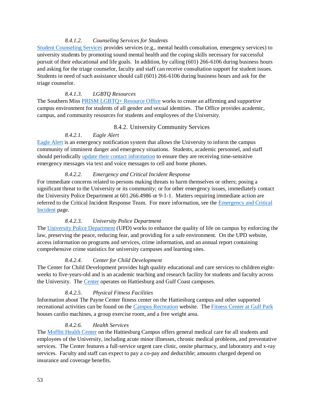#### *8.4.1.2. [Counseling Services for Students](https://www.usm.edu/student-counseling-services)*

[Student Counseling Services](https://www.usm.edu/student-counseling-services) provides services (e.g., mental health consultation, emergency services) to university students by promoting sound mental health and the coping skills necessary for successful pursuit of their educational and life goals. In addition, by calling (601) 266-6106 during business hours and asking for the triage counselor, faculty and staff can receive consultation support for student issues. Students in need of such assistance should call (601) 266-6106 during business hours and ask for the triage counselor.

#### *8.4.1.3. LGBTQ Resources*

The Southern Miss [PRISM LGBTQ+ Resource Office](https://www.usm.edu/diversity/prism) works to create an affirming and supportive campus environment for students of all gender and sexual identities. The Office provides academic, campus, and community resources for students and employees of the University.

#### 8.4.2. University Community Services

#### *8.4.2.1. Eagle Alert*

<span id="page-58-0"></span>[Eagle Alert](https://www.usm.edu/safety/eagle-alert) is an emergency notification system that allows the University to inform the campus community of imminent danger and emergency situations. Students, academic personnel, and staff should periodically [update their contact information](https://www.usm.edu/safety/eagle-alert-enrollment-instructions) to ensure they are receiving time-sensitive emergency messages via text and voice messages to cell and home phones.

#### *8.4.2.2. Emergency and Critical Incident Response*

For immediate concerns related to persons making threats to harm themselves or others; posing a significant threat to the University or its community; or for other emergency issues, immediately contact the University Police Department at 601.266.4986 or 9-1-1. Matters requiring immediate action are referred to the Critical Incident Response Team. For more information, see the [Emergency and Critical](https://www.usm.edu/police/emergency-and-critical-incident-response)  [Incident](https://www.usm.edu/police/emergency-and-critical-incident-response) page.

#### *8.4.2.3. University Police Department*

The [University Police Department](https://www.usm.edu/police) (UPD) works to enhance the quality of life on campus by enforcing the law, preserving the peace, reducing fear, and providing for a safe environment. On the UPD website, access information on programs and services, crime information, and an annual report containing comprehensive crime statistics for university campuses and learning sites.

#### *8.4.2.4. Center for Child Development*

The Center for Child Development provides high quality educational and care services to children eightweeks to five-years-old and is an academic teaching and research facility for students and faculty across the University. The [Center](https://www.usm.edu/center-child-development) operates on Hattiesburg and Gulf Coast campuses.

#### *8.4.2.5. Physical Fitness Facilities*

Information about The Payne Center fitness center on the Hattiesburg campus and other supported recreational activities can be found on the [Campus Recreation](https://www.usm.edu/campus-recreation) website. The [Fitness Center at Gulf Park](https://www.usm.edu/gulfcoast/fitness-center) houses cardio machines, a group exercise room, and a free weight area.

#### *8.4.2.6. Health Services*

The [Moffitt Health Center](https://www.usm.edu/student-health-services) on the Hattiesburg Campus offers general medical care for all students and employees of the University, including acute minor illnesses, chronic medical problems, and preventative services. The Center features a full-service urgent care clinic, onsite pharmacy, and laboratory and x-ray services. Faculty and staff can expect to pay a co-pay and deductible; amounts charged depend on insurance and coverage benefits.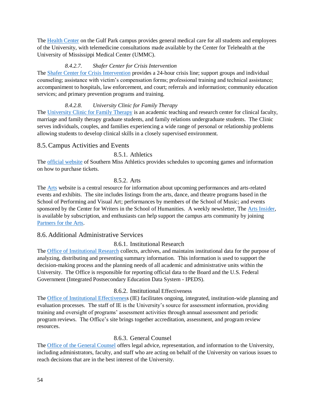The [Health Center](https://www.usm.edu/gulfcoast/health-center) on the Gulf Park campus provides general medical care for all students and employees of the University, with telemedicine consultations made available by the Center for Telehealth at the University of Mississippi Medical Center (UMMC).

#### *8.4.2.7. Shafer Center for Crisis Intervention*

The [Shafer Center for Crisis Intervention](https://www.theshafercenter.info/) provides a 24-hour crisis line; support groups and individual counseling; assistance with victim's compensation forms; professional training and technical assistance; accompaniment to hospitals, law enforcement, and court; referrals and information; community education services; and primary prevention programs and training.

#### *8.4.2.8. University Clinic for Family Therapy*

The [University Clinic for Family Therapy](https://www.usm.edu/marriage-and-family-therapy-masters-degree-program/university-clinic-family-therapy) is an academic teaching and research center for clinical faculty, marriage and family therapy graduate students, and family relations undergraduate students. The Clinic serves individuals, couples, and families experiencing a wide range of personal or relationship problems allowing students to develop clinical skills in a closely supervised environment.

#### <span id="page-59-0"></span>8.5.Campus Activities and Events

#### <span id="page-59-1"></span>8.5.1. [Athletics](http://www.southernmiss.com/)

The [official website](https://southernmiss.com/) of Southern Miss Athletics provides schedules to upcoming games and information on how to purchase tickets.

#### 8.5.2. Arts

<span id="page-59-2"></span>The [Arts](https://www.usm.edu/arts) website is a central resource for information about upcoming performances and arts-related events and exhibits. The site includes listings from the arts, dance, and theatre programs based in the School of Performing and Visual Art; performances by members of the School of Music; and events sponsored by the Center for Writers in the School of Humanities. A weekly newsletter, The [Arts Insider,](https://visitor.r20.constantcontact.com/manage/optin?v=001ipHfjvAPgXPh-deZ6gnlq5wI28vAnE6fp4_z9ZXoETnTm0ZowdFeQdvmnIdY_dbIRCh_LC0eO1bzX5cRlOlk76gF5wCVuvFjOxVgKb0XHFo%3D) is available by subscription, and enthusiasts can help support the campus arts community by joining [Partners for the Arts.](https://www.usm.edu/arts/partners-arts)

#### <span id="page-59-4"></span><span id="page-59-3"></span>8.6. Additional Administrative Services

#### 8.6.1. Institutional Research

The [Office of Institutional Research](https://www.usm.edu/institutional-research) collects, archives, and maintains institutional data for the purpose of analyzing, distributing and presenting summary information. This information is used to support the decision-making process and the planning needs of all academic and administrative units within the University. The Office is responsible for reporting official data to the Board and the U.S. Federal Government (Integrated Postsecondary Education Data System - IPEDS).

#### 8.6.2. Institutional Effectiveness

<span id="page-59-5"></span>The [Office of Institutional Effectiveness](https://www.usm.edu/institutional-effectiveness) (IE) facilitates ongoing, integrated, institution-wide planning and evaluation processes. The staff of IE is the University's source for assessment information, providing training and oversight of programs' assessment activities through annual assessment and periodic program reviews. The Office's site brings together accreditation, assessment, and program review resources.

#### 8.6.3. General Counsel

<span id="page-59-6"></span>The [Office of the General Counsel](https://www.usm.edu/general-counsel) offers legal advice, representation, and information to the University, including administrators, faculty, and staff who are acting on behalf of the University on various issues to reach decisions that are in the best interest of the University.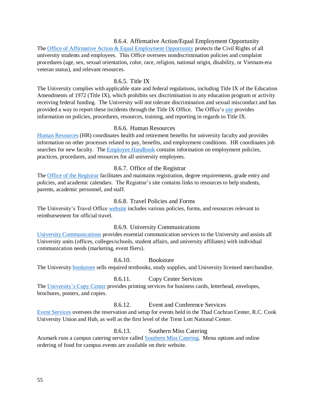## 8.6.4. Affirmative Action/Equal Employment Opportunity

<span id="page-60-0"></span>The [Office of Affirmative Action & Equal Employment Opportunity](https://www.usm.edu/aa-eeo) protects the Civil Rights of all university students and employees. This Office oversees nondiscrimination policies and complaint procedures (age, sex, sexual orientation, color, race, religion, national origin, disability, or Vietnam-era veteran status), and relevant resources.

#### <span id="page-60-1"></span>8.6.5. [Title](https://www.usm.edu/sexual-misconduct/home-page) IX

The University complies with applicable state and federal regulations, including Title IX of the Education Amendments of 1972 (Title IX), which prohibits sex discrimination in any education program or activity receiving federal funding. The University will not tolerate discrimination and sexual misconduct and has provided a way to report these incidents through the Title IX Office. The Office's [site](https://www.usm.edu/sexual-misconduct/home-page) provides information on policies, procedures, resources, training, and reporting in regards to Title IX.

#### 8.6.6. Human Resources

<span id="page-60-2"></span>[Human Resources](https://www.usm.edu/employment-hr) (HR) coordinates health and retirement benefits for university faculty and provides information on other processes related to pay, benefits, and employment conditions. HR coordinates job searches for new faculty. The [Employee Handbook](https://www.usm.edu/sites/default/files/groups/employment-hr/pdf/employee_handbook.pdf) contains information on employment policies, practices, procedures, and resources for all university employees.

#### 8.6.7. Office of the Registrar

<span id="page-60-3"></span>The [Office of the Registrar](https://www.usm.edu/registrar) facilitates and maintains registration, degree requirements, grade entry and policies, and academic calendars. The Registrar's site contains links to resources to help students, parents, academic personnel, and staff.

#### 8.6.8. Travel Policies and Forms

<span id="page-60-4"></span>The University's Travel Office [website](https://www.usm.edu/procurement-contract-services/travel-forms-and-instructions) includes various policies, forms, and resources relevant to reimbursement for official travel.

#### 8.6.9. University Communications

<span id="page-60-5"></span>[University Communications](https://www.usm.edu/university-communications) provides essential communication services to the University and assists all University units (offices, colleges/schools, student affairs, and university affiliates) with individual communication needs (marketing, event fliers).

8.6.10. Bookstore

<span id="page-60-6"></span>The University [bookstore](https://usm.bncollege.com/webapp/wcs/stores/servlet/BNCBHomePage?storeId=13556&catalogId=10001&langId=-1) sells required textbooks, study supplies, and University licensed merchandise.

#### 8.6.11. Copy Center Services

<span id="page-60-7"></span>The [University's Copy Center](https://www.usm.edu/image-center/copy-center-services) provides printing services for business cards, letterhead, envelopes, brochures, posters, and copies.

#### <span id="page-60-8"></span>8.6.12. [Event and Conference Services](https://www.usm.edu/image-center/copy-center-services)

[Event Services](https://www.usm.edu/event-services) oversees the reservation and setup for events held in the Thad Cochran Center, R.C. Cook University Union and Hub, as well as the first level of the Trent Lott National Center.

#### <span id="page-60-9"></span>8.6.13. [Southern Miss Catering](http://ttps/southernmisscatering.catertrax.com/)

Aramark runs a campus catering service called [Southern Miss Catering.](https://southernmisscatering.catertrax.com/) Menu options and online ordering of food for campus events are available on their website.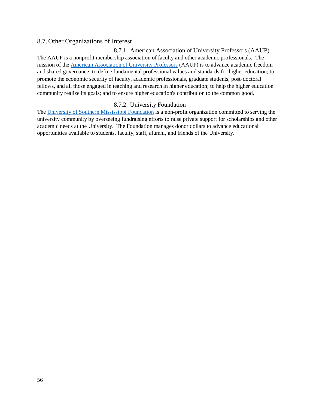#### <span id="page-61-1"></span><span id="page-61-0"></span>8.7. Other Organizations of Interest

#### 8.7.1. American Association of University Professors (AAUP)

The AAUP is a nonprofit membership association of faculty and other academic professionals. The mission of the [American Association of University Professors](https://www.aaup.org/) (AAUP) is to advance academic freedom and shared governance; to define fundamental professional values and standards for higher education; to promote the economic security of faculty, academic professionals, graduate students, post‐doctoral fellows, and all those engaged in teaching and research in higher education; to help the higher education community realize its goals; and to ensure higher education's contribution to the common good.

#### 8.7.2. University Foundation

<span id="page-61-2"></span>The [University of Southern Mississippi Foundation](https://www.usmfoundation.com/s/1149/foundation/start.aspx) is a non-profit organization committed to serving the university community by overseeing fundraising efforts to raise private support for scholarships and other academic needs at the University. The Foundation manages donor dollars to advance educational opportunities available to students, faculty, staff, alumni, and friends of the University.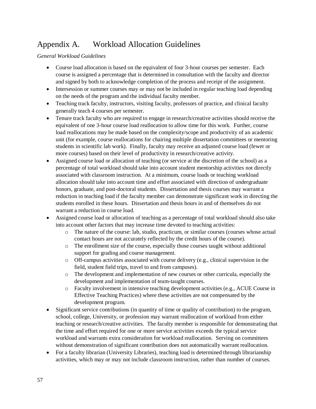## <span id="page-62-0"></span>Appendix A. Workload Allocation Guidelines

*General Workload Guidelines*

- Course load allocation is based on the equivalent of four 3-hour courses per semester. Each course is assigned a percentage that is determined in consultation with the faculty and director and signed by both to acknowledge completion of the process and receipt of the assignment.
- Intersession or summer courses may or may not be included in regular teaching load depending on the needs of the program and the individual faculty member.
- Teaching track faculty, instructors, visiting faculty, professors of practice, and clinical faculty generally teach 4 courses per semester.
- Tenure track faculty who are required to engage in research/creative activities should receive the equivalent of one 3-hour course load reallocation to allow time for this work. Further, course load reallocations may be made based on the complexity/scope and productivity of an academic unit (for example, course reallocations for chairing multiple dissertation committees or mentoring students in scientific lab work). Finally, faculty may receive an adjusted course load (fewer or more courses) based on their level of productivity in research/creative activity.
- Assigned course load or allocation of teaching (or service at the discretion of the school) as a percentage of total workload should take into account student mentorship activities not directly associated with classroom instruction. At a minimum, course loads or teaching workload allocation should take into account time and effort associated with direction of undergraduate honors, graduate, and post-doctoral students. Dissertation and thesis courses may warrant a reduction in teaching load if the faculty member can demonstrate significant work in directing the students enrolled in these hours. Dissertation and thesis hours in and of themselves do not warrant a reduction in course load.
- Assigned course load or allocation of teaching as a percentage of total workload should also take into account other factors that may increase time devoted to teaching activities:
	- o The nature of the course: lab, studio, practicum, or similar courses (courses whose actual contact hours are not accurately reflected by the credit hours of the course).
	- $\circ$  The enrollment size of the course, especially those courses taught without additional support for grading and course management.
	- $\circ$  Off-campus activities associated with course delivery (e.g., clinical supervision in the field, student field trips, travel to and from campuses).
	- o The development and implementation of new courses or other curricula, especially the development and implementation of team-taught courses.
	- o Faculty involvement in intensive teaching development activities (e.g., ACUE Course in Effective Teaching Practices) where these activities are not compensated by the development program.
- Significant service contributions (in quantity of time or quality of contribution) to the program, school, college, University, or profession may warrant reallocation of workload from either teaching or research/creative activities. The faculty member is responsible for demonstrating that the time and effort required for one or more service activities exceeds the typical service workload and warrants extra consideration for workload reallocation. Serving on committees without demonstration of significant contribution does not automatically warrant reallocation.
- For a faculty librarian (University Libraries), teaching load is determined through librarianship activities, which may or may not include classroom instruction, rather than number of courses.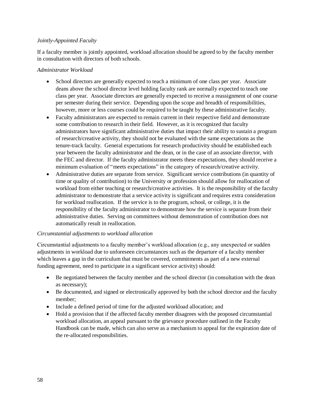#### *Jointly-Appointed Faculty*

If a faculty member is jointly appointed, workload allocation should be agreed to by the faculty member in consultation with directors of both schools.

#### *Administrator Workload*

- School directors are generally expected to teach a minimum of one class per year. Associate deans above the school director level holding faculty rank are normally expected to teach one class per year. Associate directors are generally expected to receive a reassignment of one course per semester during their service. Depending upon the scope and breadth of responsibilities, however, more or less courses could be required to be taught by these administrative faculty.
- Faculty administrators are expected to remain current in their respective field and demonstrate some contribution to research in their field. However, as it is recognized that faculty administrators have significant administrative duties that impact their ability to sustain a program of research/creative activity, they should not be evaluated with the same expectations as the tenure-track faculty. General expectations for research productivity should be established each year between the faculty administrator and the dean, or in the case of an associate director, with the FEC and director. If the faculty administrator meets these expectations, they should receive a minimum evaluation of "meets expectations" in the category of research/creative activity.
- Administrative duties are separate from service. Significant service contributions (in quantity of time or quality of contribution) to the University or profession should allow for reallocation of workload from either teaching or research/creative activities. It is the responsibility of the faculty administrator to demonstrate that a service activity is significant and requires extra consideration for workload reallocation. If the service is to the program, school, or college, it is the responsibility of the faculty administrator to demonstrate how the service is separate from their administrative duties. Serving on committees without demonstration of contribution does not automatically result in reallocation.

#### *Circumstantial adjustments to workload allocation*

Circumstantial adjustments to a faculty member's workload allocation (e.g., any unexpected or sudden adjustments in workload due to unforeseen circumstances such as the departure of a faculty member which leaves a gap in the curriculum that must be covered, commitments as part of a new external funding agreement, need to participate in a significant service activity) should:

- Be negotiated between the faculty member and the school director (in consultation with the dean as necessary);
- Be documented, and signed or electronically approved by both the school director and the faculty member;
- Include a defined period of time for the adjusted workload allocation; and
- Hold a provision that if the affected faculty member disagrees with the proposed circumstantial workload allocation, an appeal pursuant to the grievance procedure outlined in the Faculty Handbook can be made, which can also serve as a mechanism to appeal for the expiration date of the re-allocated responsibilities.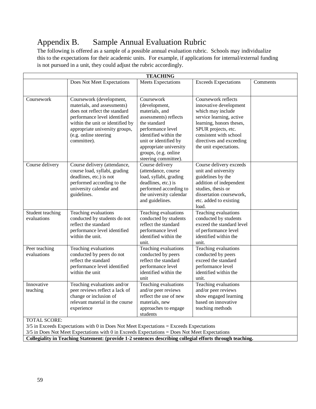## <span id="page-64-0"></span>Appendix B. Sample Annual Evaluation Rubric

The following is offered as a sample of a possible annual evaluation rubric. Schools may individualize this to the expectations for their academic units. For example, if applications for internal/external funding is not pursued in a unit, they could adjust the rubric accordingly.

| <b>TEACHING</b>                                                                                           |                                                                                                                                                                                                                                        |                                                                                                                                                                                                                                         |                                                                                                                                                                                                                                   |          |
|-----------------------------------------------------------------------------------------------------------|----------------------------------------------------------------------------------------------------------------------------------------------------------------------------------------------------------------------------------------|-----------------------------------------------------------------------------------------------------------------------------------------------------------------------------------------------------------------------------------------|-----------------------------------------------------------------------------------------------------------------------------------------------------------------------------------------------------------------------------------|----------|
|                                                                                                           | Does Not Meet Expectations                                                                                                                                                                                                             | <b>Meets Expectations</b>                                                                                                                                                                                                               | <b>Exceeds Expectations</b>                                                                                                                                                                                                       | Comments |
|                                                                                                           |                                                                                                                                                                                                                                        |                                                                                                                                                                                                                                         |                                                                                                                                                                                                                                   |          |
| Coursework                                                                                                | Coursework (development,<br>materials, and assessments)<br>does not reflect the standard<br>performance level identified<br>within the unit or identified by<br>appropriate university groups,<br>(e.g. online steering<br>committee). | Coursework<br>(development,<br>materials, and<br>assessments) reflects<br>the standard<br>performance level<br>identified within the<br>unit or identified by<br>appropriate university<br>groups, (e.g. online<br>steering committee). | Coursework reflects<br>innovative development<br>which may include<br>service learning, active<br>learning, honors theses,<br>SPUR projects, etc.<br>consistent with school<br>directives and exceeding<br>the unit expectations. |          |
| Course delivery                                                                                           | Course delivery (attendance,<br>course load, syllabi, grading<br>deadlines, etc.) is not<br>performed according to the<br>university calendar and<br>guidelines.                                                                       | Course delivery<br>(attendance, course<br>load, syllabi, grading<br>deadlines, etc.) is<br>performed according to<br>the university calendar<br>and guidelines.                                                                         | Course delivery exceeds<br>unit and university<br>guidelines by the<br>addition of independent<br>studies, thesis or<br>dissertation coursework.<br>etc. added to existing<br>load.                                               |          |
| Student teaching<br>evaluations                                                                           | Teaching evaluations<br>conducted by students do not<br>reflect the standard<br>performance level identified<br>within the unit.                                                                                                       | Teaching evaluations<br>conducted by students<br>reflect the standard<br>performance level<br>identified within the<br>unit.                                                                                                            | Teaching evaluations<br>conducted by students<br>exceed the standard level<br>of performance level<br>identified within the<br>unit.                                                                                              |          |
| Peer teaching<br>evaluations                                                                              | Teaching evaluations<br>conducted by peers do not<br>reflect the standard<br>performance level identified<br>within the unit                                                                                                           | Teaching evaluations<br>conducted by peers<br>reflect the standard<br>performance level<br>identified within the<br>unit                                                                                                                | Teaching evaluations<br>conducted by peers<br>exceed the standard<br>performance level<br>identified within the<br>unit.                                                                                                          |          |
| Innovative<br>teaching                                                                                    | Teaching evaluations and/or<br>peer reviews reflect a lack of<br>change or inclusion of<br>relevant material in the course<br>experience                                                                                               | Teaching evaluations<br>and/or peer reviews<br>reflect the use of new<br>materials, new<br>approaches to engage<br>students                                                                                                             | Teaching evaluations<br>and/or peer reviews<br>show engaged learning<br>based on innovative<br>teaching methods                                                                                                                   |          |
| <b>TOTAL SCORE:</b>                                                                                       |                                                                                                                                                                                                                                        |                                                                                                                                                                                                                                         |                                                                                                                                                                                                                                   |          |
| $3/5$ in Exceeds Expectations with 0 in Does Not Meet Expectations = Exceeds Expectations                 |                                                                                                                                                                                                                                        |                                                                                                                                                                                                                                         |                                                                                                                                                                                                                                   |          |
|                                                                                                           | 3/5 in Does Not Meet Expectations with 0 in Exceeds Expectations = Does Not Meet Expectations                                                                                                                                          |                                                                                                                                                                                                                                         |                                                                                                                                                                                                                                   |          |
| Collegiality in Teaching Statement: (provide 1-2 sentences describing collegial efforts through teaching. |                                                                                                                                                                                                                                        |                                                                                                                                                                                                                                         |                                                                                                                                                                                                                                   |          |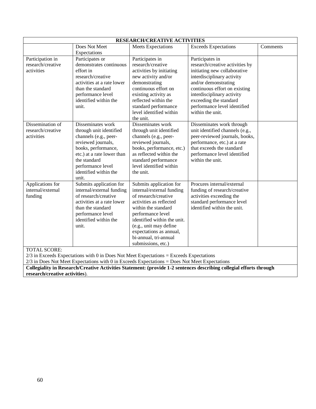| <b>RESEARCH/CREATIVE ACTIVITIES</b>                                                                                                                                                          |                                                                                                                                                                                                                         |                                                                                                                                                                                                                                                                                        |                                                                                                                                                                                                                 |          |
|----------------------------------------------------------------------------------------------------------------------------------------------------------------------------------------------|-------------------------------------------------------------------------------------------------------------------------------------------------------------------------------------------------------------------------|----------------------------------------------------------------------------------------------------------------------------------------------------------------------------------------------------------------------------------------------------------------------------------------|-----------------------------------------------------------------------------------------------------------------------------------------------------------------------------------------------------------------|----------|
|                                                                                                                                                                                              | Does Not Meet                                                                                                                                                                                                           | <b>Meets Expectations</b>                                                                                                                                                                                                                                                              | <b>Exceeds Expectations</b>                                                                                                                                                                                     | Comments |
|                                                                                                                                                                                              | Expectations                                                                                                                                                                                                            |                                                                                                                                                                                                                                                                                        |                                                                                                                                                                                                                 |          |
| Participation in<br>research/creative<br>activities                                                                                                                                          | Participates or<br>demonstrates continuous<br>effort in<br>research/creative                                                                                                                                            | Participates in<br>research/creative<br>activities by initiating<br>new activity and/or                                                                                                                                                                                                | Participates in<br>research/creative activities by<br>initiating new collaborative<br>interdisciplinary activity                                                                                                |          |
|                                                                                                                                                                                              | activities at a rate lower<br>than the standard<br>performance level<br>identified within the<br>unit.                                                                                                                  | demonstrating<br>continuous effort on<br>existing activity as<br>reflected within the<br>standard performance<br>level identified within<br>the unit.                                                                                                                                  | and/or demonstrating<br>continuous effort on existing<br>interdisciplinary activity<br>exceeding the standard<br>performance level identified<br>within the unit.                                               |          |
| Dissemination of<br>research/creative<br>activities                                                                                                                                          | Disseminates work<br>through unit identified<br>channels (e.g., peer-<br>reviewed journals,<br>books, performance,<br>etc.) at a rate lower than<br>the standard<br>performance level<br>identified within the<br>unit. | Disseminates work<br>through unit identified<br>channels (e.g., peer-<br>reviewed journals,<br>books, performance, etc.)<br>as reflected within the<br>standard performance<br>level identified within<br>the unit.                                                                    | Disseminates work through<br>unit identified channels (e.g.,<br>peer-reviewed journals, books,<br>performance, etc.) at a rate<br>that exceeds the standard<br>performance level identified<br>within the unit. |          |
| Applications for<br>internal/external<br>funding<br><b>TOTAL SCORE:</b>                                                                                                                      | Submits application for<br>internal/external funding<br>of research/creative<br>activities at a rate lower<br>than the standard<br>performance level<br>identified within the<br>unit.                                  | Submits application for<br>internal/external funding<br>of research/creative<br>activities as reflected<br>within the standard<br>performance level<br>identified within the unit.<br>(e.g., unit may define<br>expectations as annual,<br>bi-annual, tri-annual<br>submissions, etc.) | Procures internal/external<br>funding of research/creative<br>activities exceeding the<br>standard performance level<br>identified within the unit.                                                             |          |
| $2/3$ in Exceeds Expectations with 0 in Does Not Meet Expectations = Exceeds Expectations<br>$2/3$ in Does Not Meet Expectations with 0 in Exceeds Expectations = Does Not Meet Expectations |                                                                                                                                                                                                                         |                                                                                                                                                                                                                                                                                        |                                                                                                                                                                                                                 |          |
|                                                                                                                                                                                              |                                                                                                                                                                                                                         |                                                                                                                                                                                                                                                                                        |                                                                                                                                                                                                                 |          |
|                                                                                                                                                                                              | Collegiality in Research/Creative Activities Statement: (provide 1-2 sentences describing collegial efforts through<br>research/creative activities).                                                                   |                                                                                                                                                                                                                                                                                        |                                                                                                                                                                                                                 |          |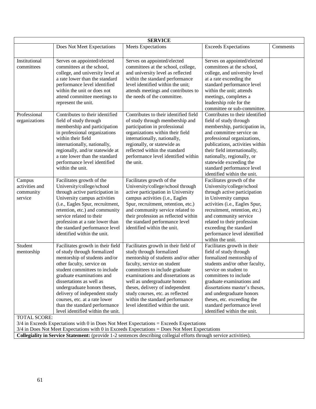| <b>SERVICE</b>                                                                                  |                                   |                                       |                                 |          |
|-------------------------------------------------------------------------------------------------|-----------------------------------|---------------------------------------|---------------------------------|----------|
|                                                                                                 | Does Not Meet Expectations        | <b>Meets Expectations</b>             | <b>Exceeds Expectations</b>     | Comments |
|                                                                                                 |                                   |                                       |                                 |          |
| Institutional                                                                                   | Serves on appointed/elected       | Serves on appointed/elected           | Serves on appointed/elected     |          |
| committees                                                                                      | committees at the school,         | committees at the school, college,    | committees at the school,       |          |
|                                                                                                 | college, and university level at  | and university level as reflected     | college, and university level   |          |
|                                                                                                 | a rate lower than the standard    | within the standard performance       | at a rate exceeding the         |          |
|                                                                                                 | performance level identified      | level identified within the unit;     | standard performance level      |          |
|                                                                                                 | within the unit or does not       | attends meetings and contributes to   | within the unit; attends        |          |
|                                                                                                 | attend committee meetings to      | the needs of the committee.           | meetings, completes a           |          |
|                                                                                                 | represent the unit.               |                                       | leadership role for the         |          |
|                                                                                                 |                                   |                                       | committee or sub-committee.     |          |
| Professional                                                                                    | Contributes to their identified   | Contributes to their identified field | Contributes to their identified |          |
| organizations                                                                                   | field of study through            | of study through membership and       | field of study through          |          |
|                                                                                                 | membership and participation      | participation in professional         | membership, participation in,   |          |
|                                                                                                 | in professional organizations     | organizations within their field      | and committee service on        |          |
|                                                                                                 | within their field                | internationally, nationally,          | professional organizations,     |          |
|                                                                                                 | internationally, nationally,      | regionally, or statewide as           | publications, activities within |          |
|                                                                                                 | regionally, and/or statewide at   | reflected within the standard         | their field internationally,    |          |
|                                                                                                 | a rate lower than the standard    | performance level identified within   | nationally, regionally, or      |          |
|                                                                                                 | performance level identified      | the unit.                             | statewide exceeding the         |          |
|                                                                                                 | within the unit.                  |                                       | standard performance level      |          |
|                                                                                                 |                                   |                                       | identified within the unit.     |          |
| Campus                                                                                          | Facilitates growth of the         | Facilitates growth of the             | Facilitates growth of the       |          |
| activities and                                                                                  | University/college/school         | University/college/school through     | University/college/school       |          |
| community                                                                                       | through active participation in   | active participation in University    | through active participation    |          |
| service                                                                                         | University campus activities      | campus activities (i.e., Eagles       | in University campus            |          |
|                                                                                                 | (i.e., Eagles Spur, recruitment,  | Spur, recruitment, retention, etc.)   | activities (i.e., Eagles Spur,  |          |
|                                                                                                 | retention, etc.) and community    | and community service related to      | recruitment, retention, etc.)   |          |
|                                                                                                 | service related to their          | their profession as reflected within  | and community service           |          |
|                                                                                                 | profession at a rate lower than   | the standard performance level        | related to their profession     |          |
|                                                                                                 | the standard performance level    | identified within the unit.           | exceeding the standard          |          |
|                                                                                                 | identified within the unit.       |                                       | performance level identified    |          |
|                                                                                                 |                                   |                                       | within the unit.                |          |
| Student                                                                                         | Facilitates growth in their field | Facilitates growth in their field of  | Facilitates growth in their     |          |
| mentorship                                                                                      | of study through formalized       | study through formalized              | field of study through          |          |
|                                                                                                 | mentorship of students and/or     | mentorship of students and/or other   | formalized mentorship of        |          |
|                                                                                                 | other faculty, service on         | faculty, service on student           | students and/or other faculty,  |          |
|                                                                                                 | student committees to include     | committees to include graduate        | service on student to           |          |
|                                                                                                 | graduate examinations and         | examinations and dissertations as     | committees to include           |          |
|                                                                                                 | dissertations as well as          | well as undergraduate honors          | graduate examinations and       |          |
|                                                                                                 | undergraduate honors theses,      | theses, delivery of independent       | dissertations master's theses,  |          |
|                                                                                                 | delivery of independent study     | study courses, etc. as reflected      | and undergraduate honors        |          |
|                                                                                                 | courses, etc. at a rate lower     | within the standard performance       | theses, etc. exceeding the      |          |
|                                                                                                 | than the standard performance     | level identified within the unit.     | standard performance level      |          |
|                                                                                                 | level identified within the unit. |                                       | identified within the unit.     |          |
| <b>TOTAL SCORE:</b>                                                                             |                                   |                                       |                                 |          |
| $3/4$ in Exceeds Expectations with 0 in Does Not Meet Expectations = Exceeds Expectations       |                                   |                                       |                                 |          |
| $3/4$ in Does Not Meet Expectations with 0 in Exceeds Expectations = Does Not Meet Expectations |                                   |                                       |                                 |          |

**Collegiality in Service Statement:** (provide 1-2 sentences describing collegial efforts through service activities).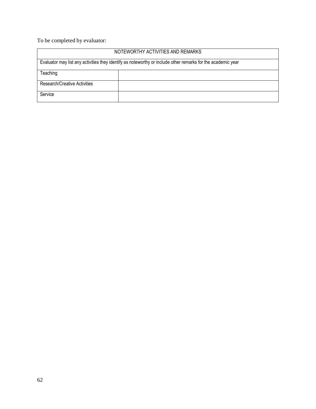To be completed by evaluator:

| NOTEWORTHY ACTIVITIES AND REMARKS                                                                            |  |  |
|--------------------------------------------------------------------------------------------------------------|--|--|
| Evaluator may list any activities they identify as noteworthy or include other remarks for the academic year |  |  |
| Teaching                                                                                                     |  |  |
| Research/Creative Activities                                                                                 |  |  |
| Service                                                                                                      |  |  |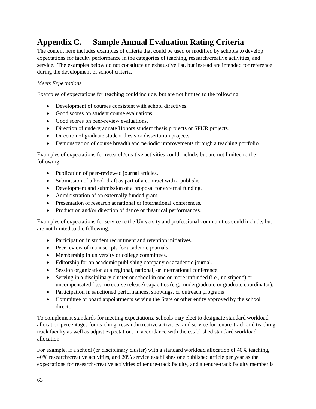## <span id="page-68-0"></span>**Appendix C. Sample Annual Evaluation Rating Criteria**

The content here includes examples of criteria that could be used or modified by schools to develop expectations for faculty performance in the categories of teaching, research/creative activities, and service. The examples below do not constitute an exhaustive list, but instead are intended for reference during the development of school criteria.

#### *Meets Expectations*

Examples of expectations for teaching could include, but are not limited to the following:

- Development of courses consistent with school directives.
- Good scores on student course evaluations.
- Good scores on peer-review evaluations.
- Direction of undergraduate Honors student thesis projects or SPUR projects.
- Direction of graduate student thesis or dissertation projects.
- Demonstration of course breadth and periodic improvements through a teaching portfolio.

Examples of expectations for research/creative activities could include, but are not limited to the following:

- Publication of peer-reviewed journal articles.
- Submission of a book draft as part of a contract with a publisher.
- Development and submission of a proposal for external funding.
- Administration of an externally funded grant.
- Presentation of research at national or international conferences.
- Production and/or direction of dance or theatrical performances.

Examples of expectations for service to the University and professional communities could include, but are not limited to the following:

- Participation in student recruitment and retention initiatives.
- Peer review of manuscripts for academic journals.
- Membership in university or college committees.
- Editorship for an academic publishing company or academic journal.
- Session organization at a regional, national, or international conference.
- Serving in a disciplinary cluster or school in one or more unfunded (i.e., no stipend) or uncompensated (i.e., no course release) capacities (e.g., undergraduate or graduate coordinator).
- Participation in sanctioned performances, showings, or outreach programs
- Committee or board appointments serving the State or other entity approved by the school director.

To complement standards for meeting expectations, schools may elect to designate standard workload allocation percentages for teaching, research/creative activities, and service for tenure-track and teachingtrack faculty as well as adjust expectations in accordance with the established standard workload allocation.

For example, if a school (or disciplinary cluster) with a standard workload allocation of 40% teaching, 40% research/creative activities, and 20% service establishes one published article per year as the expectations for research/creative activities of tenure-track faculty, and a tenure-track faculty member is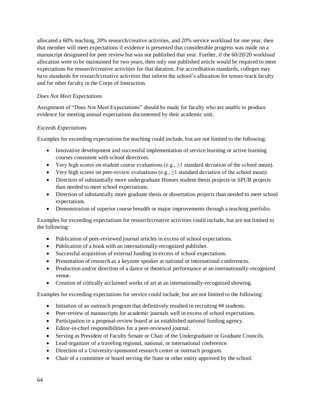allocated a 60% teaching, 20% research/creative activities, and 20% service workload for one year, then that member will meet expectations if evidence is presented that considerable progress was made on a manuscript designated for peer review but was not published that year. Further, if the 60/20/20 workload allocation were to be maintained for two years, then only one published article would be required to meet expectations for research/creative activities for that duration. For accreditation standards, colleges may have standards for research/creative activities that inform the school's allocation for tenure-track faculty and for other faculty in the Corps of Instruction.

#### *Does Not Meet Expectations*

Assignment of "Does Not Meet Expectations" should be made for faculty who are unable to produce evidence for meeting annual expectations documented by their academic unit.

#### *Exceeds Expectations*

Examples for exceeding expectations for teaching could include, but are not limited to the following:

- Innovative development and successful implementation of service learning or active learning courses consistent with school directives.
- Very high scores on student course evaluations (e.g.,  $\geq$ 1 standard deviation of the school mean).
- Very high scores on peer-review evaluations (e.g.,  $\geq 1$  standard deviation of the school mean).
- Direction of substantially more undergraduate Honors student thesis projects or SPUR projects than needed to meet school expectations.
- Direction of substantially more graduate thesis or dissertation projects than needed to meet school expectations.
- Demonstration of superior course breadth or major improvements through a teaching portfolio.

Examples for exceeding expectations for research/creative activities could include, but are not limited to the following:

- Publication of peer-reviewed journal articles in excess of school expectations.
- Publication of a book with an internationally-recognized publisher.
- Successful acquisition of external funding in excess of school expectations.
- Presentation of research as a keynote speaker at national or international conferences.
- Production and/or direction of a dance or theatrical performance at an internationally-recognized venue.
- Creation of critically acclaimed works of art at an internationally-recognized showing.

Examples for exceeding expectations for service could include, but are not limited to the following:

- Initiation of an outreach program that definitively resulted in recruiting ## students.
- Peer-review of manuscripts for academic journals well in excess of school expectations.
- Participation in a proposal-review board at an established national funding agency.
- Editor-in-chief responsibilities for a peer-reviewed journal.
- Serving as President of Faculty Senate or Chair of the Undergraduate or Graduate Councils.
- Lead organizer of a traveling regional, national, or international conference.
- Direction of a University-sponsored research center or outreach program.
- Chair of a committee or board serving the State or other entity approved by the school.